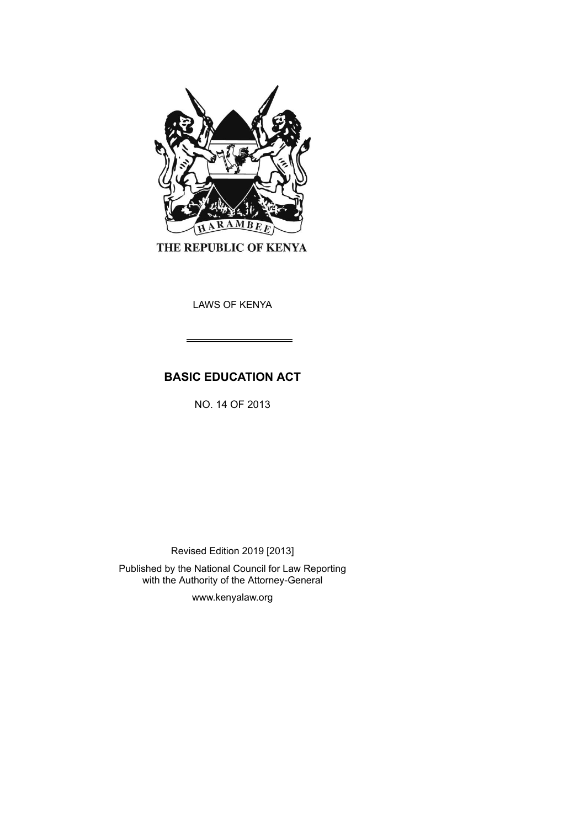

THE REPUBLIC OF KENYA

LAWS OF KENYA

# **BASIC EDUCATION ACT**

NO. 14 OF 2013

Revised Edition 2019 [2013]

Published by the National Council for Law Reporting with the Authority of the Attorney-General

www.kenyalaw.org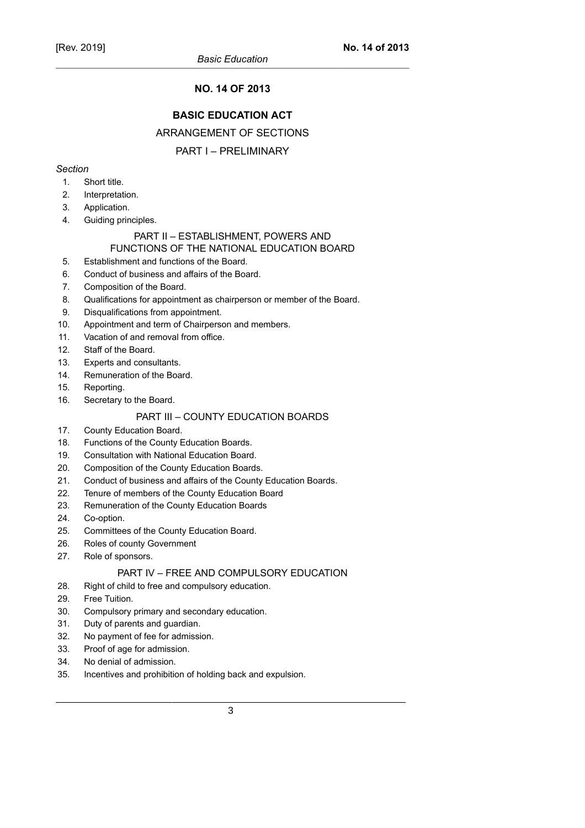# **NO. 14 OF 2013**

# **BASIC EDUCATION ACT**

### ARRANGEMENT OF SECTIONS

# PART I – PRELIMINARY

# *Section*

- 1. Short title.
- 2. Interpretation.
- 3. Application.
- 4. Guiding principles.

#### PART II – ESTABLISHMENT, POWERS AND FUNCTIONS OF THE NATIONAL EDUCATION BOARD

- 5. Establishment and functions of the Board.
- 6. Conduct of business and affairs of the Board.
- 7. Composition of the Board.
- 8. Qualifications for appointment as chairperson or member of the Board.
- 9. Disqualifications from appointment.
- 10. Appointment and term of Chairperson and members.
- 11. Vacation of and removal from office.
- 12. Staff of the Board.
- 13. Experts and consultants.
- 14. Remuneration of the Board.
- 15. Reporting.
- 16. Secretary to the Board.

# PART III – COUNTY EDUCATION BOARDS

- 17. County Education Board.
- 18. Functions of the County Education Boards.
- 19. Consultation with National Education Board.
- 20. Composition of the County Education Boards.
- 21. Conduct of business and affairs of the County Education Boards.
- 22. Tenure of members of the County Education Board
- 23. Remuneration of the County Education Boards
- 24. Co-option.
- 25. Committees of the County Education Board.
- 26. Roles of county Government
- 27. Role of sponsors.

# PART IV – FREE AND COMPULSORY EDUCATION

- 28. Right of child to free and compulsory education.
- 29. Free Tuition.
- 30. Compulsory primary and secondary education.
- 31. Duty of parents and guardian.
- 32. No payment of fee for admission.
- 33. Proof of age for admission.
- 34. No denial of admission.
- 35. Incentives and prohibition of holding back and expulsion.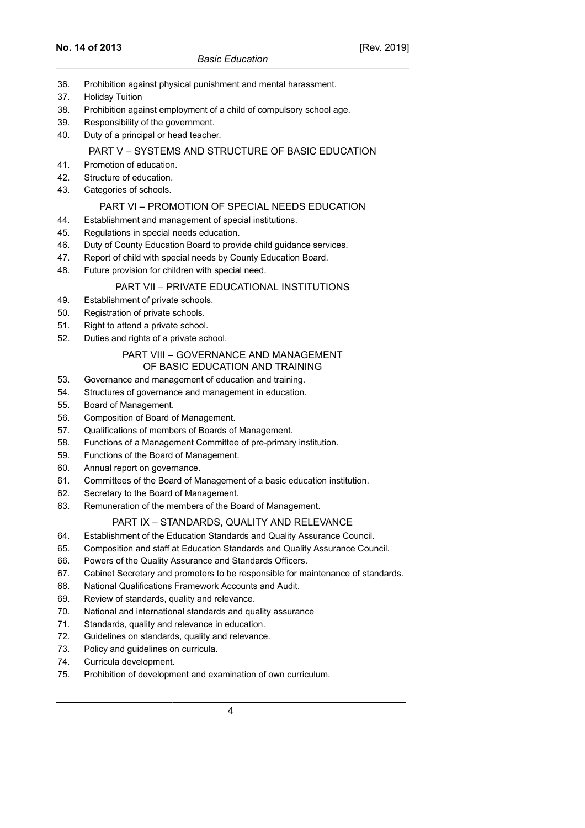- 36. Prohibition against physical punishment and mental harassment.
- 37. Holiday Tuition
- 38. Prohibition against employment of a child of compulsory school age.
- 39. Responsibility of the government.
- 40. Duty of a principal or head teacher.

### PART V – SYSTEMS AND STRUCTURE OF BASIC EDUCATION

- 41. Promotion of education.
- 42. Structure of education.
- 43. Categories of schools.

### PART VI – PROMOTION OF SPECIAL NEEDS EDUCATION

- 44. Establishment and management of special institutions.
- 45. Regulations in special needs education.
- 46. Duty of County Education Board to provide child guidance services.
- 47. Report of child with special needs by County Education Board.
- 48. Future provision for children with special need.

### PART VII – PRIVATE EDUCATIONAL INSTITUTIONS

- 49. Establishment of private schools.
- 50. Registration of private schools.
- 51. Right to attend a private school.
- 52. Duties and rights of a private school.

### PART VIII – GOVERNANCE AND MANAGEMENT OF BASIC EDUCATION AND TRAINING

- 53. Governance and management of education and training.
- 54. Structures of governance and management in education.
- 55. Board of Management.
- 56. Composition of Board of Management.
- 57. Qualifications of members of Boards of Management.
- 58. Functions of a Management Committee of pre-primary institution.
- 59. Functions of the Board of Management.
- 60. Annual report on governance.
- 61. Committees of the Board of Management of a basic education institution.
- 62. Secretary to the Board of Management.
- 63. Remuneration of the members of the Board of Management.

# PART IX – STANDARDS, QUALITY AND RELEVANCE

- 64. Establishment of the Education Standards and Quality Assurance Council.
- 65. Composition and staff at Education Standards and Quality Assurance Council.
- 66. Powers of the Quality Assurance and Standards Officers.
- 67. Cabinet Secretary and promoters to be responsible for maintenance of standards.
- 68. National Qualifications Framework Accounts and Audit.
- 69. Review of standards, quality and relevance.
- 70. National and international standards and quality assurance
- 71. Standards, quality and relevance in education.
- 72. Guidelines on standards, quality and relevance.
- 73. Policy and guidelines on curricula.
- 74. Curricula development.
- 75. Prohibition of development and examination of own curriculum.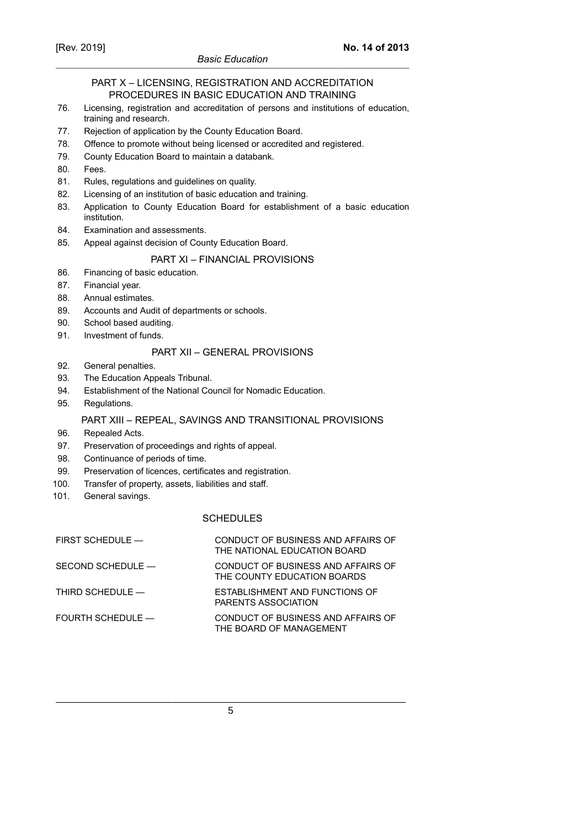### *Basic Education*

### PART X – LICENSING, REGISTRATION AND ACCREDITATION PROCEDURES IN BASIC EDUCATION AND TRAINING

- 76. Licensing, registration and accreditation of persons and institutions of education, training and research.
- 77. Rejection of application by the County Education Board.
- 78. Offence to promote without being licensed or accredited and registered.
- 79. County Education Board to maintain a databank.
- 80. Fees.
- 81. Rules, regulations and guidelines on quality.
- 82. Licensing of an institution of basic education and training.
- 83. Application to County Education Board for establishment of a basic education institution.
- 84. Examination and assessments.
- 85. Appeal against decision of County Education Board.

# PART XI – FINANCIAL PROVISIONS

- 86. Financing of basic education.
- 87. Financial year.
- 88. Annual estimates.
- 89. Accounts and Audit of departments or schools.
- 90. School based auditing.
- 91. Investment of funds.

### PART XII – GENERAL PROVISIONS

- 92. General penalties.
- 93. The Education Appeals Tribunal.
- 94. Establishment of the National Council for Nomadic Education.
- 95. Regulations.

#### PART XIII – REPEAL, SAVINGS AND TRANSITIONAL PROVISIONS

- 96. Repealed Acts.
- 97. Preservation of proceedings and rights of appeal.
- 98. Continuance of periods of time.
- 99. Preservation of licences, certificates and registration.
- 100. Transfer of property, assets, liabilities and staff.
- 101. General savings.

### **SCHEDULES**

| CONDUCT OF BUSINESS AND AFFAIRS OF<br>THE NATIONAL EDUCATION BOARD |
|--------------------------------------------------------------------|
| CONDUCT OF BUSINESS AND AFFAIRS OF<br>THE COUNTY EDUCATION BOARDS  |
| ESTABLISHMENT AND FUNCTIONS OF<br><b>PARENTS ASSOCIATION</b>       |
| CONDUCT OF BUSINESS AND AFFAIRS OF<br>THE BOARD OF MANAGEMENT      |
|                                                                    |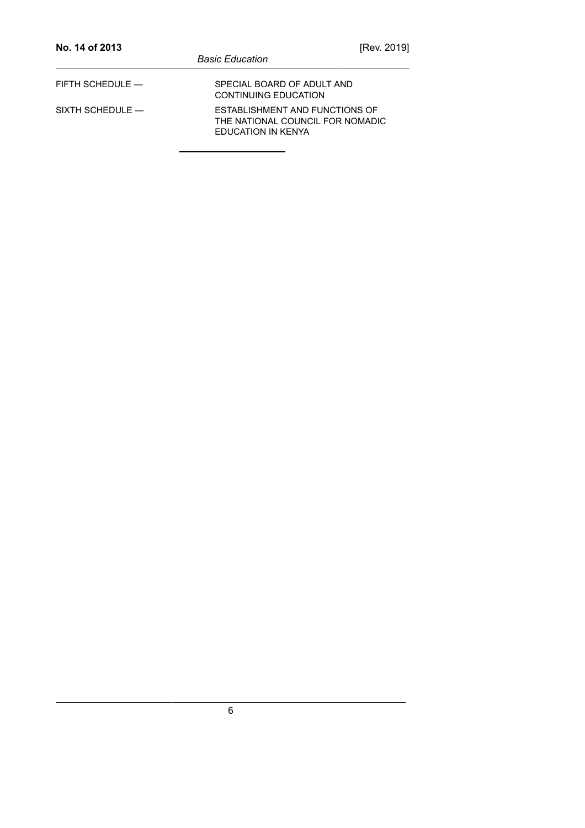| No. 14 of 2013       |                                                                                          | [Rev. 2019] |
|----------------------|------------------------------------------------------------------------------------------|-------------|
|                      | <b>Basic Education</b>                                                                   |             |
| FIFTH SCHEDULE —     | SPECIAL BOARD OF ADULT AND<br>CONTINUING EDUCATION                                       |             |
| $SIXTH$ SCHEDULE $-$ | ESTABLISHMENT AND FUNCTIONS OF<br>THE NATIONAL COUNCIL FOR NOMADIC<br>EDUCATION IN KENYA |             |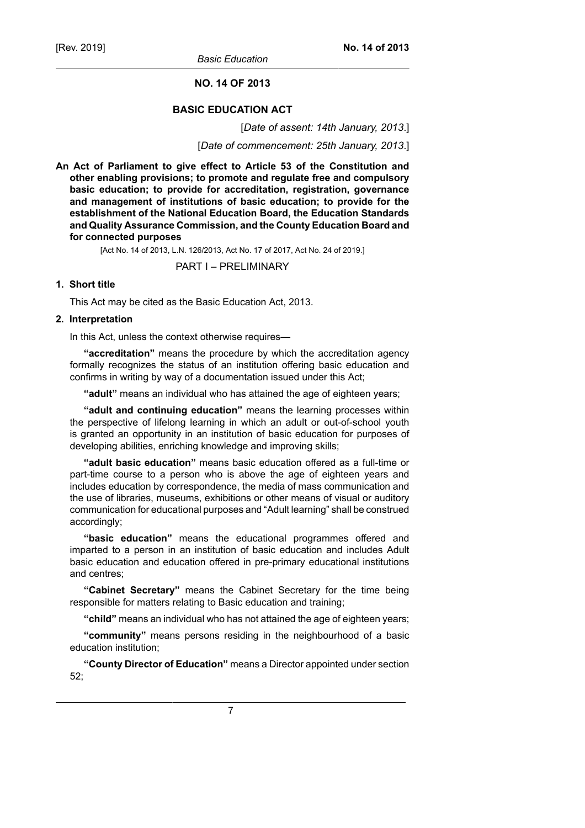*Basic Education*

# **NO. 14 OF 2013**

#### **BASIC EDUCATION ACT**

[*Date of assent: 14th January, 2013*.]

[*Date of commencement: 25th January, 2013*.]

**An Act of Parliament to give effect to Article 53 of the Constitution and other enabling provisions; to promote and regulate free and compulsory basic education; to provide for accreditation, registration, governance and management of institutions of basic education; to provide for the establishment of the National Education Board, the Education Standards and Quality Assurance Commission, and the County Education Board and for connected purposes**

[Act No. 14 of 2013, L.N. 126/2013, Act No. 17 of 2017, Act No. 24 of 2019.]

PART I – PRELIMINARY

### **1. Short title**

This Act may be cited as the Basic Education Act, 2013.

### **2. Interpretation**

In this Act, unless the context otherwise requires—

**"accreditation"** means the procedure by which the accreditation agency formally recognizes the status of an institution offering basic education and confirms in writing by way of a documentation issued under this Act;

**"adult"** means an individual who has attained the age of eighteen years;

**"adult and continuing education"** means the learning processes within the perspective of lifelong learning in which an adult or out-of-school youth is granted an opportunity in an institution of basic education for purposes of developing abilities, enriching knowledge and improving skills;

**"adult basic education"** means basic education offered as a full-time or part-time course to a person who is above the age of eighteen years and includes education by correspondence, the media of mass communication and the use of libraries, museums, exhibitions or other means of visual or auditory communication for educational purposes and "Adult learning" shall be construed accordingly;

**"basic education"** means the educational programmes offered and imparted to a person in an institution of basic education and includes Adult basic education and education offered in pre-primary educational institutions and centres;

**"Cabinet Secretary"** means the Cabinet Secretary for the time being responsible for matters relating to Basic education and training;

**"child"** means an individual who has not attained the age of eighteen years;

**"community"** means persons residing in the neighbourhood of a basic education institution;

**"County Director of Education"** means a Director appointed under section 52;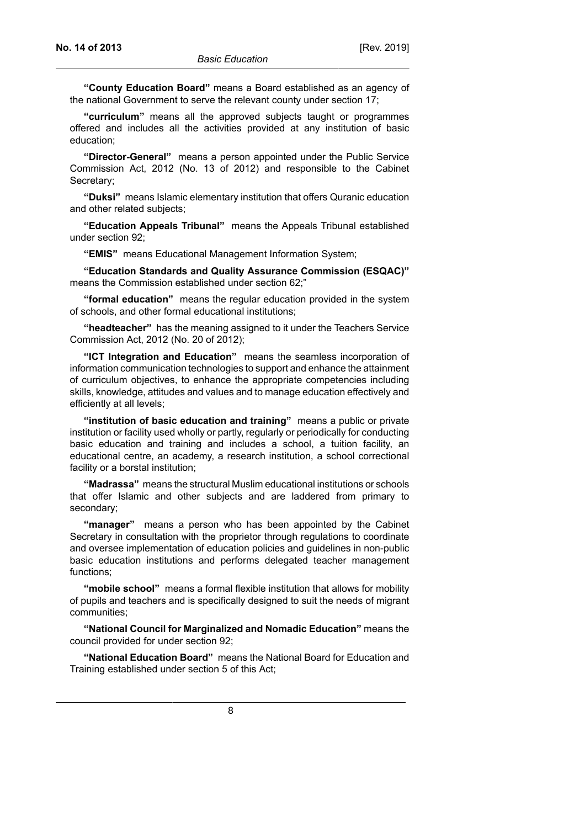**"County Education Board"** means a Board established as an agency of the national Government to serve the relevant county under section 17;

**"curriculum"** means all the approved subjects taught or programmes offered and includes all the activities provided at any institution of basic education;

**"Director-General"** means a person appointed under the Public Service Commission Act, 2012 (No. 13 of 2012) and responsible to the Cabinet Secretary;

**"Duksi"** means Islamic elementary institution that offers Quranic education and other related subjects;

**"Education Appeals Tribunal"** means the Appeals Tribunal established under section 92;

**"EMIS"** means Educational Management Information System;

**"Education Standards and Quality Assurance Commission (ESQAC)"** means the Commission established under section 62;"

**"formal education"** means the regular education provided in the system of schools, and other formal educational institutions;

**"headteacher"** has the meaning assigned to it under the Teachers Service Commission Act, 2012 (No. 20 of 2012);

**"ICT Integration and Education"** means the seamless incorporation of information communication technologies to support and enhance the attainment of curriculum objectives, to enhance the appropriate competencies including skills, knowledge, attitudes and values and to manage education effectively and efficiently at all levels;

**"institution of basic education and training"** means a public or private institution or facility used wholly or partly, regularly or periodically for conducting basic education and training and includes a school, a tuition facility, an educational centre, an academy, a research institution, a school correctional facility or a borstal institution;

**"Madrassa"** means the structural Muslim educational institutions or schools that offer Islamic and other subjects and are laddered from primary to secondary;

**"manager"** means a person who has been appointed by the Cabinet Secretary in consultation with the proprietor through regulations to coordinate and oversee implementation of education policies and guidelines in non-public basic education institutions and performs delegated teacher management functions;

**"mobile school"** means a formal flexible institution that allows for mobility of pupils and teachers and is specifically designed to suit the needs of migrant communities;

**"National Council for Marginalized and Nomadic Education"** means the council provided for under section 92;

**"National Education Board"** means the National Board for Education and Training established under section 5 of this Act;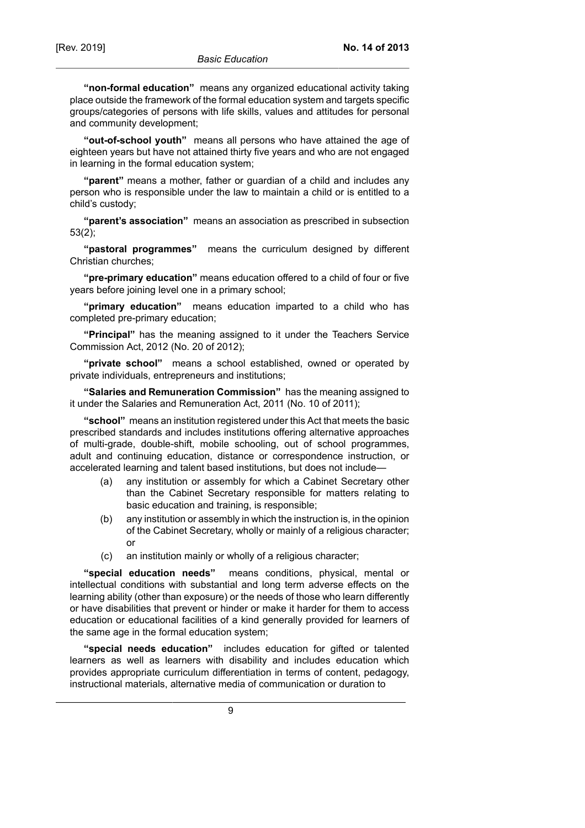**"non-formal education"** means any organized educational activity taking place outside the framework of the formal education system and targets specific groups/categories of persons with life skills, values and attitudes for personal and community development;

**"out-of-school youth"** means all persons who have attained the age of eighteen years but have not attained thirty five years and who are not engaged in learning in the formal education system;

**"parent"** means a mother, father or guardian of a child and includes any person who is responsible under the law to maintain a child or is entitled to a child's custody;

**"parent's association"** means an association as prescribed in subsection 53(2);

**"pastoral programmes"** means the curriculum designed by different Christian churches;

**"pre-primary education"** means education offered to a child of four or five years before joining level one in a primary school;

**"primary education"** means education imparted to a child who has completed pre-primary education;

**"Principal"** has the meaning assigned to it under the Teachers Service Commission Act, 2012 (No. 20 of 2012);

**"private school"** means a school established, owned or operated by private individuals, entrepreneurs and institutions;

**"Salaries and Remuneration Commission"** has the meaning assigned to it under the Salaries and Remuneration Act, 2011 (No. 10 of 2011);

**"school"** means an institution registered under this Act that meets the basic prescribed standards and includes institutions offering alternative approaches of multi-grade, double-shift, mobile schooling, out of school programmes, adult and continuing education, distance or correspondence instruction, or accelerated learning and talent based institutions, but does not include—

- (a) any institution or assembly for which a Cabinet Secretary other than the Cabinet Secretary responsible for matters relating to basic education and training, is responsible;
- (b) any institution or assembly in which the instruction is, in the opinion of the Cabinet Secretary, wholly or mainly of a religious character; or
- (c) an institution mainly or wholly of a religious character;

**"special education needs"** means conditions, physical, mental or intellectual conditions with substantial and long term adverse effects on the learning ability (other than exposure) or the needs of those who learn differently or have disabilities that prevent or hinder or make it harder for them to access education or educational facilities of a kind generally provided for learners of the same age in the formal education system;

**"special needs education"** includes education for gifted or talented learners as well as learners with disability and includes education which provides appropriate curriculum differentiation in terms of content, pedagogy, instructional materials, alternative media of communication or duration to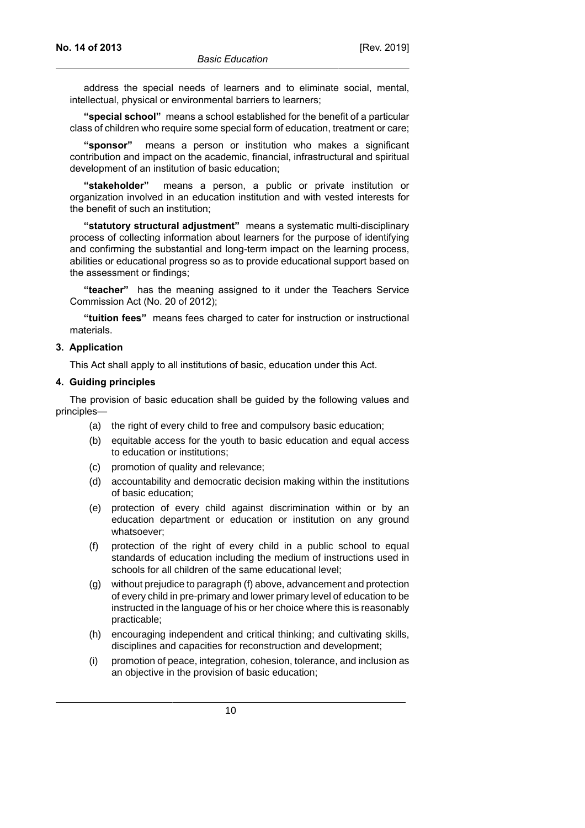address the special needs of learners and to eliminate social, mental, intellectual, physical or environmental barriers to learners;

**"special school"** means a school established for the benefit of a particular class of children who require some special form of education, treatment or care;

**"sponsor"** means a person or institution who makes a significant contribution and impact on the academic, financial, infrastructural and spiritual development of an institution of basic education;

**"stakeholder"** means a person, a public or private institution or organization involved in an education institution and with vested interests for the benefit of such an institution;

**"statutory structural adjustment"** means a systematic multi-disciplinary process of collecting information about learners for the purpose of identifying and confirming the substantial and long-term impact on the learning process, abilities or educational progress so as to provide educational support based on the assessment or findings;

**"teacher"** has the meaning assigned to it under the Teachers Service Commission Act (No. 20 of 2012);

**"tuition fees"** means fees charged to cater for instruction or instructional materials.

### **3. Application**

This Act shall apply to all institutions of basic, education under this Act.

### **4. Guiding principles**

The provision of basic education shall be guided by the following values and principles—

- (a) the right of every child to free and compulsory basic education;
- (b) equitable access for the youth to basic education and equal access to education or institutions;
- (c) promotion of quality and relevance;
- (d) accountability and democratic decision making within the institutions of basic education;
- (e) protection of every child against discrimination within or by an education department or education or institution on any ground whatsoever;
- (f) protection of the right of every child in a public school to equal standards of education including the medium of instructions used in schools for all children of the same educational level;
- (g) without prejudice to paragraph (f) above, advancement and protection of every child in pre-primary and lower primary level of education to be instructed in the language of his or her choice where this is reasonably practicable;
- (h) encouraging independent and critical thinking; and cultivating skills, disciplines and capacities for reconstruction and development;
- (i) promotion of peace, integration, cohesion, tolerance, and inclusion as an objective in the provision of basic education;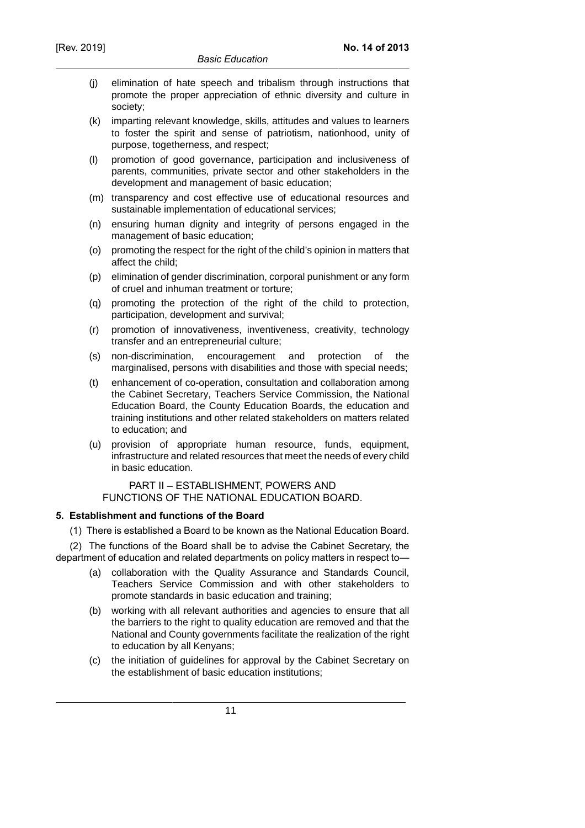- (j) elimination of hate speech and tribalism through instructions that promote the proper appreciation of ethnic diversity and culture in society;
- (k) imparting relevant knowledge, skills, attitudes and values to learners to foster the spirit and sense of patriotism, nationhood, unity of purpose, togetherness, and respect;
- (l) promotion of good governance, participation and inclusiveness of parents, communities, private sector and other stakeholders in the development and management of basic education;
- (m) transparency and cost effective use of educational resources and sustainable implementation of educational services;
- (n) ensuring human dignity and integrity of persons engaged in the management of basic education;
- (o) promoting the respect for the right of the child's opinion in matters that affect the child;
- (p) elimination of gender discrimination, corporal punishment or any form of cruel and inhuman treatment or torture;
- (q) promoting the protection of the right of the child to protection, participation, development and survival;
- (r) promotion of innovativeness, inventiveness, creativity, technology transfer and an entrepreneurial culture;
- (s) non-discrimination, encouragement and protection of the marginalised, persons with disabilities and those with special needs;
- (t) enhancement of co-operation, consultation and collaboration among the Cabinet Secretary, Teachers Service Commission, the National Education Board, the County Education Boards, the education and training institutions and other related stakeholders on matters related to education; and
- (u) provision of appropriate human resource, funds, equipment, infrastructure and related resources that meet the needs of every child in basic education.

PART II – ESTABLISHMENT, POWERS AND FUNCTIONS OF THE NATIONAL EDUCATION BOARD.

# **5. Establishment and functions of the Board**

(1) There is established a Board to be known as the National Education Board.

(2) The functions of the Board shall be to advise the Cabinet Secretary, the department of education and related departments on policy matters in respect to—

- (a) collaboration with the Quality Assurance and Standards Council, Teachers Service Commission and with other stakeholders to promote standards in basic education and training;
- (b) working with all relevant authorities and agencies to ensure that all the barriers to the right to quality education are removed and that the National and County governments facilitate the realization of the right to education by all Kenyans;
- (c) the initiation of guidelines for approval by the Cabinet Secretary on the establishment of basic education institutions;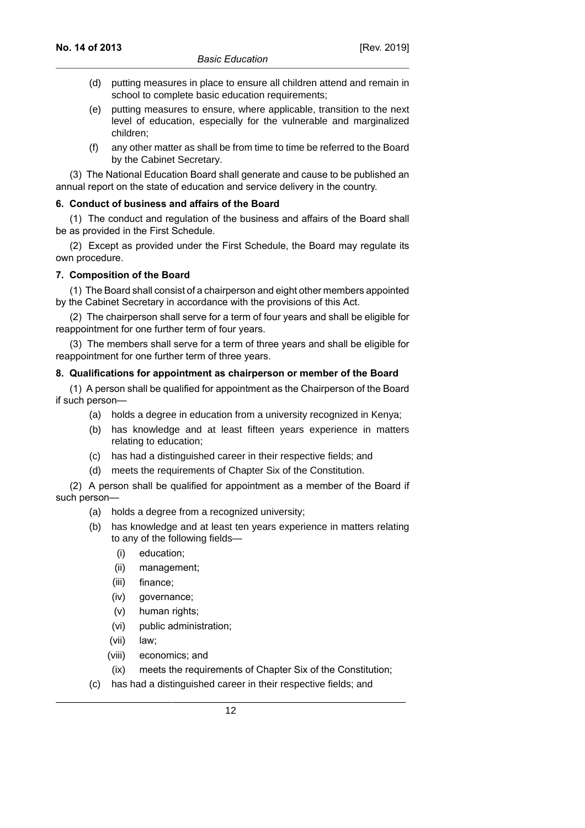- (d) putting measures in place to ensure all children attend and remain in school to complete basic education requirements;
- (e) putting measures to ensure, where applicable, transition to the next level of education, especially for the vulnerable and marginalized children;
- (f) any other matter as shall be from time to time be referred to the Board by the Cabinet Secretary.

(3) The National Education Board shall generate and cause to be published an annual report on the state of education and service delivery in the country.

### **6. Conduct of business and affairs of the Board**

(1) The conduct and regulation of the business and affairs of the Board shall be as provided in the First Schedule.

(2) Except as provided under the First Schedule, the Board may regulate its own procedure.

# **7. Composition of the Board**

(1) The Board shall consist of a chairperson and eight other members appointed by the Cabinet Secretary in accordance with the provisions of this Act.

(2) The chairperson shall serve for a term of four years and shall be eligible for reappointment for one further term of four years.

(3) The members shall serve for a term of three years and shall be eligible for reappointment for one further term of three years.

### **8. Qualifications for appointment as chairperson or member of the Board**

(1) A person shall be qualified for appointment as the Chairperson of the Board if such person—

- (a) holds a degree in education from a university recognized in Kenya;
- (b) has knowledge and at least fifteen years experience in matters relating to education;
- (c) has had a distinguished career in their respective fields; and
- (d) meets the requirements of Chapter Six of the Constitution.

(2) A person shall be qualified for appointment as a member of the Board if such person—

- (a) holds a degree from a recognized university;
- (b) has knowledge and at least ten years experience in matters relating to any of the following fields—
	- (i) education;
	- (ii) management;
	- (iii) finance;
	- (iv) governance;
	- (v) human rights;
	- (vi) public administration;
	- (vii) law;
	- (viii) economics; and
	- (ix) meets the requirements of Chapter Six of the Constitution;
- (c) has had a distinguished career in their respective fields; and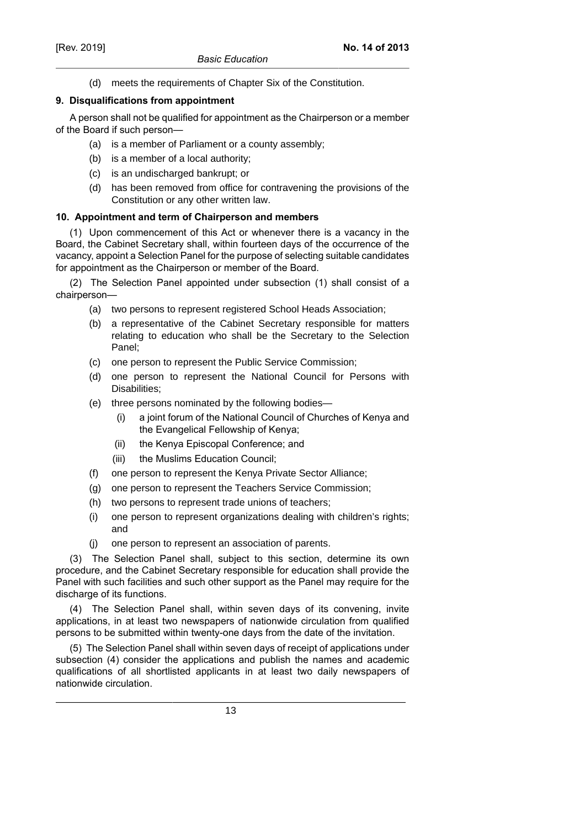(d) meets the requirements of Chapter Six of the Constitution.

# **9. Disqualifications from appointment**

A person shall not be qualified for appointment as the Chairperson or a member of the Board if such person—

- (a) is a member of Parliament or a county assembly;
- (b) is a member of a local authority;
- (c) is an undischarged bankrupt; or
- (d) has been removed from office for contravening the provisions of the Constitution or any other written law.

### **10. Appointment and term of Chairperson and members**

(1) Upon commencement of this Act or whenever there is a vacancy in the Board, the Cabinet Secretary shall, within fourteen days of the occurrence of the vacancy, appoint a Selection Panel for the purpose of selecting suitable candidates for appointment as the Chairperson or member of the Board.

(2) The Selection Panel appointed under subsection (1) shall consist of a chairperson—

- (a) two persons to represent registered School Heads Association;
- (b) a representative of the Cabinet Secretary responsible for matters relating to education who shall be the Secretary to the Selection Panel;
- (c) one person to represent the Public Service Commission;
- (d) one person to represent the National Council for Persons with Disabilities;
- (e) three persons nominated by the following bodies—
	- (i) a joint forum of the National Council of Churches of Kenya and the Evangelical Fellowship of Kenya;
	- (ii) the Kenya Episcopal Conference; and
	- (iii) the Muslims Education Council;
- (f) one person to represent the Kenya Private Sector Alliance;
- (g) one person to represent the Teachers Service Commission;
- (h) two persons to represent trade unions of teachers;
- (i) one person to represent organizations dealing with children's rights; and
- (j) one person to represent an association of parents.

(3) The Selection Panel shall, subject to this section, determine its own procedure, and the Cabinet Secretary responsible for education shall provide the Panel with such facilities and such other support as the Panel may require for the discharge of its functions.

(4) The Selection Panel shall, within seven days of its convening, invite applications, in at least two newspapers of nationwide circulation from qualified persons to be submitted within twenty-one days from the date of the invitation.

(5) The Selection Panel shall within seven days of receipt of applications under subsection (4) consider the applications and publish the names and academic qualifications of all shortlisted applicants in at least two daily newspapers of nationwide circulation.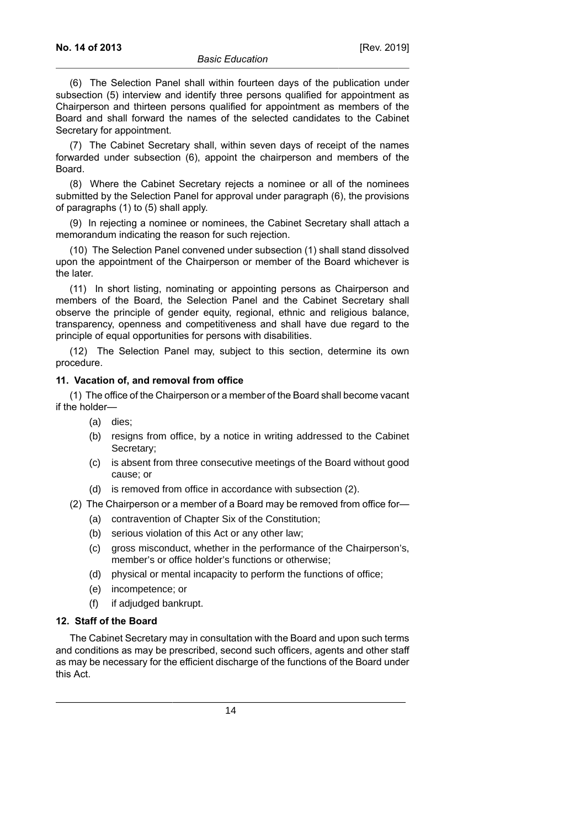(6) The Selection Panel shall within fourteen days of the publication under subsection (5) interview and identify three persons qualified for appointment as Chairperson and thirteen persons qualified for appointment as members of the Board and shall forward the names of the selected candidates to the Cabinet Secretary for appointment.

(7) The Cabinet Secretary shall, within seven days of receipt of the names forwarded under subsection (6), appoint the chairperson and members of the Board.

(8) Where the Cabinet Secretary rejects a nominee or all of the nominees submitted by the Selection Panel for approval under paragraph (6), the provisions of paragraphs (1) to (5) shall apply.

(9) In rejecting a nominee or nominees, the Cabinet Secretary shall attach a memorandum indicating the reason for such rejection.

(10) The Selection Panel convened under subsection (1) shall stand dissolved upon the appointment of the Chairperson or member of the Board whichever is the later.

(11) In short listing, nominating or appointing persons as Chairperson and members of the Board, the Selection Panel and the Cabinet Secretary shall observe the principle of gender equity, regional, ethnic and religious balance, transparency, openness and competitiveness and shall have due regard to the principle of equal opportunities for persons with disabilities.

(12) The Selection Panel may, subject to this section, determine its own procedure.

#### **11. Vacation of, and removal from office**

(1) The office of the Chairperson or a member of the Board shall become vacant if the holder—

- (a) dies;
- (b) resigns from office, by a notice in writing addressed to the Cabinet Secretary;
- (c) is absent from three consecutive meetings of the Board without good cause; or
- (d) is removed from office in accordance with subsection (2).
- (2) The Chairperson or a member of a Board may be removed from office for—
	- (a) contravention of Chapter Six of the Constitution;
	- (b) serious violation of this Act or any other law;
	- (c) gross misconduct, whether in the performance of the Chairperson's, member's or office holder's functions or otherwise;
	- (d) physical or mental incapacity to perform the functions of office;
	- (e) incompetence; or
	- (f) if adjudged bankrupt.

# **12. Staff of the Board**

The Cabinet Secretary may in consultation with the Board and upon such terms and conditions as may be prescribed, second such officers, agents and other staff as may be necessary for the efficient discharge of the functions of the Board under this Act.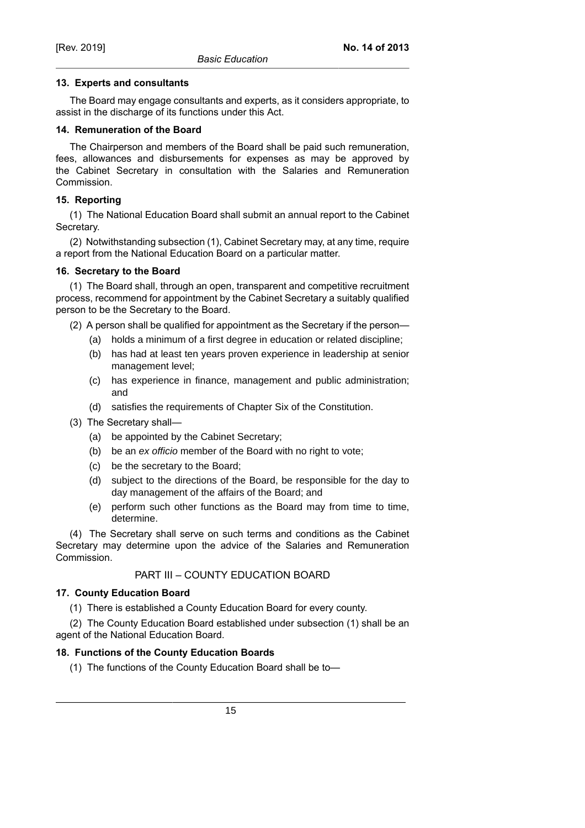# **13. Experts and consultants**

The Board may engage consultants and experts, as it considers appropriate, to assist in the discharge of its functions under this Act.

# **14. Remuneration of the Board**

The Chairperson and members of the Board shall be paid such remuneration, fees, allowances and disbursements for expenses as may be approved by the Cabinet Secretary in consultation with the Salaries and Remuneration Commission.

# **15. Reporting**

(1) The National Education Board shall submit an annual report to the Cabinet Secretary.

(2) Notwithstanding subsection (1), Cabinet Secretary may, at any time, require a report from the National Education Board on a particular matter.

### **16. Secretary to the Board**

(1) The Board shall, through an open, transparent and competitive recruitment process, recommend for appointment by the Cabinet Secretary a suitably qualified person to be the Secretary to the Board.

- (2) A person shall be qualified for appointment as the Secretary if the person—
	- (a) holds a minimum of a first degree in education or related discipline;
	- (b) has had at least ten years proven experience in leadership at senior management level;
	- (c) has experience in finance, management and public administration; and
	- (d) satisfies the requirements of Chapter Six of the Constitution.
- (3) The Secretary shall—
	- (a) be appointed by the Cabinet Secretary;
	- (b) be an ex officio member of the Board with no right to vote;
	- (c) be the secretary to the Board;
	- (d) subject to the directions of the Board, be responsible for the day to day management of the affairs of the Board; and
	- (e) perform such other functions as the Board may from time to time, determine.

(4) The Secretary shall serve on such terms and conditions as the Cabinet Secretary may determine upon the advice of the Salaries and Remuneration Commission.

# PART III – COUNTY EDUCATION BOARD

# **17. County Education Board**

(1) There is established a County Education Board for every county.

(2) The County Education Board established under subsection (1) shall be an agent of the National Education Board.

# **18. Functions of the County Education Boards**

(1) The functions of the County Education Board shall be to—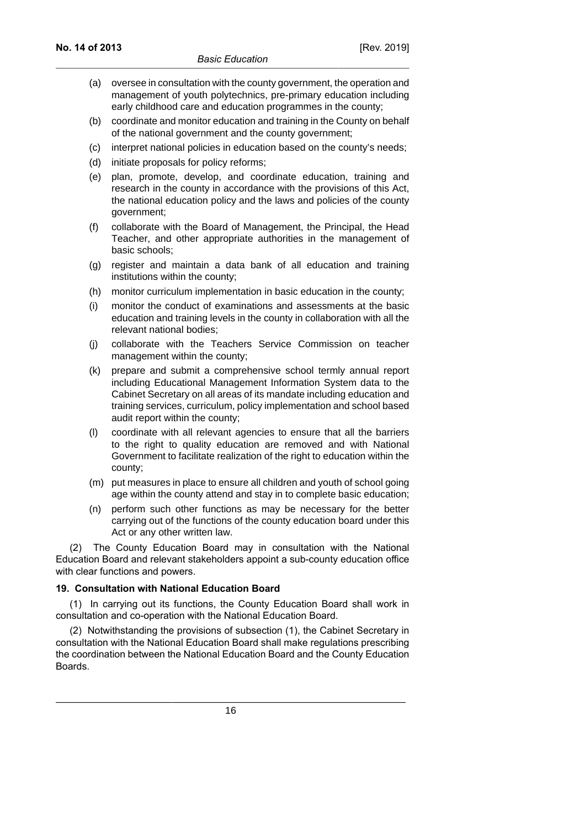- (a) oversee in consultation with the county government, the operation and management of youth polytechnics, pre-primary education including early childhood care and education programmes in the county;
- (b) coordinate and monitor education and training in the County on behalf of the national government and the county government;
- (c) interpret national policies in education based on the county's needs;
- (d) initiate proposals for policy reforms;
- (e) plan, promote, develop, and coordinate education, training and research in the county in accordance with the provisions of this Act, the national education policy and the laws and policies of the county government;
- (f) collaborate with the Board of Management, the Principal, the Head Teacher, and other appropriate authorities in the management of basic schools;
- (g) register and maintain a data bank of all education and training institutions within the county;
- (h) monitor curriculum implementation in basic education in the county;
- (i) monitor the conduct of examinations and assessments at the basic education and training levels in the county in collaboration with all the relevant national bodies;
- (j) collaborate with the Teachers Service Commission on teacher management within the county;
- (k) prepare and submit a comprehensive school termly annual report including Educational Management Information System data to the Cabinet Secretary on all areas of its mandate including education and training services, curriculum, policy implementation and school based audit report within the county;
- (l) coordinate with all relevant agencies to ensure that all the barriers to the right to quality education are removed and with National Government to facilitate realization of the right to education within the county;
- (m) put measures in place to ensure all children and youth of school going age within the county attend and stay in to complete basic education;
- (n) perform such other functions as may be necessary for the better carrying out of the functions of the county education board under this Act or any other written law.

(2) The County Education Board may in consultation with the National Education Board and relevant stakeholders appoint a sub-county education office with clear functions and powers.

# **19. Consultation with National Education Board**

(1) In carrying out its functions, the County Education Board shall work in consultation and co-operation with the National Education Board.

(2) Notwithstanding the provisions of subsection (1), the Cabinet Secretary in consultation with the National Education Board shall make regulations prescribing the coordination between the National Education Board and the County Education **Boards**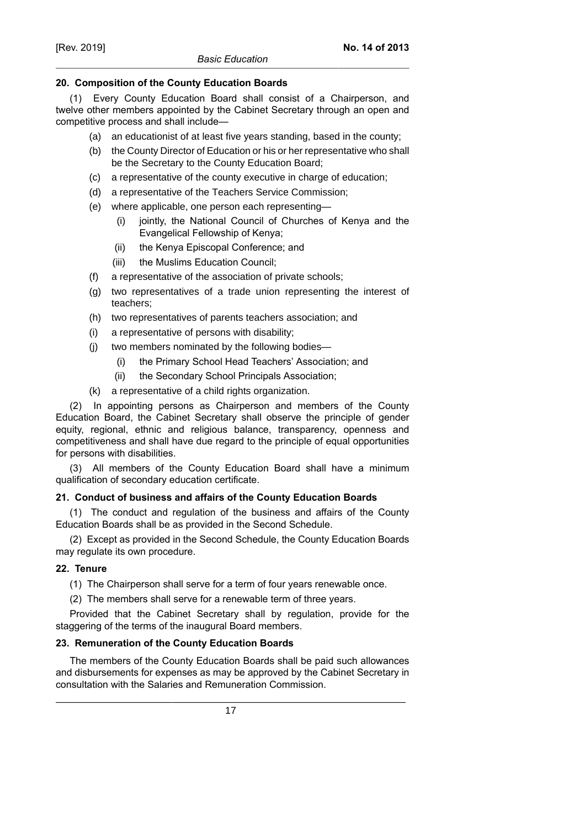# **20. Composition of the County Education Boards**

(1) Every County Education Board shall consist of a Chairperson, and twelve other members appointed by the Cabinet Secretary through an open and competitive process and shall include—

- (a) an educationist of at least five years standing, based in the county;
- (b) the County Director of Education or his or her representative who shall be the Secretary to the County Education Board;
- (c) a representative of the county executive in charge of education;
- (d) a representative of the Teachers Service Commission;
- (e) where applicable, one person each representing—
	- (i) jointly, the National Council of Churches of Kenya and the Evangelical Fellowship of Kenya;
	- (ii) the Kenya Episcopal Conference; and
	- (iii) the Muslims Education Council;
- (f) a representative of the association of private schools;
- (g) two representatives of a trade union representing the interest of teachers;
- (h) two representatives of parents teachers association; and
- (i) a representative of persons with disability;
- (j) two members nominated by the following bodies—
	- (i) the Primary School Head Teachers' Association; and
	- (ii) the Secondary School Principals Association;
- (k) a representative of a child rights organization.

(2) In appointing persons as Chairperson and members of the County Education Board, the Cabinet Secretary shall observe the principle of gender equity, regional, ethnic and religious balance, transparency, openness and competitiveness and shall have due regard to the principle of equal opportunities for persons with disabilities.

(3) All members of the County Education Board shall have a minimum qualification of secondary education certificate.

# **21. Conduct of business and affairs of the County Education Boards**

(1) The conduct and regulation of the business and affairs of the County Education Boards shall be as provided in the Second Schedule.

(2) Except as provided in the Second Schedule, the County Education Boards may regulate its own procedure.

# **22. Tenure**

- (1) The Chairperson shall serve for a term of four years renewable once.
- (2) The members shall serve for a renewable term of three years.

Provided that the Cabinet Secretary shall by regulation, provide for the staggering of the terms of the inaugural Board members.

# **23. Remuneration of the County Education Boards**

The members of the County Education Boards shall be paid such allowances and disbursements for expenses as may be approved by the Cabinet Secretary in consultation with the Salaries and Remuneration Commission.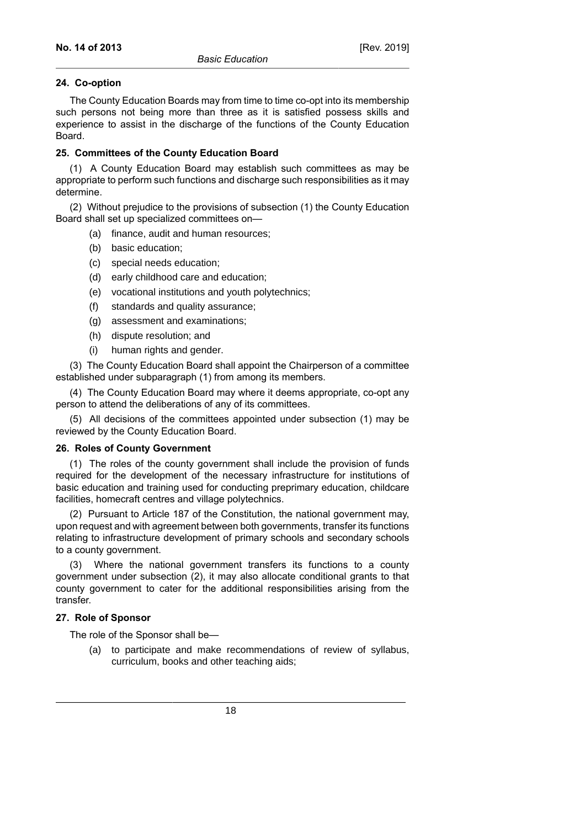### **24. Co-option**

The County Education Boards may from time to time co-opt into its membership such persons not being more than three as it is satisfied possess skills and experience to assist in the discharge of the functions of the County Education Board.

# **25. Committees of the County Education Board**

(1) A County Education Board may establish such committees as may be appropriate to perform such functions and discharge such responsibilities as it may determine.

(2) Without prejudice to the provisions of subsection (1) the County Education Board shall set up specialized committees on—

- (a) finance, audit and human resources;
- (b) basic education;
- (c) special needs education;
- (d) early childhood care and education;
- (e) vocational institutions and youth polytechnics;
- (f) standards and quality assurance;
- (g) assessment and examinations;
- (h) dispute resolution; and
- (i) human rights and gender.

(3) The County Education Board shall appoint the Chairperson of a committee established under subparagraph (1) from among its members.

(4) The County Education Board may where it deems appropriate, co-opt any person to attend the deliberations of any of its committees.

(5) All decisions of the committees appointed under subsection (1) may be reviewed by the County Education Board.

#### **26. Roles of County Government**

(1) The roles of the county government shall include the provision of funds required for the development of the necessary infrastructure for institutions of basic education and training used for conducting preprimary education, childcare facilities, homecraft centres and village polytechnics.

(2) Pursuant to Article 187 of the Constitution, the national government may, upon request and with agreement between both governments, transfer its functions relating to infrastructure development of primary schools and secondary schools to a county government.

(3) Where the national government transfers its functions to a county government under subsection (2), it may also allocate conditional grants to that county government to cater for the additional responsibilities arising from the transfer.

### **27. Role of Sponsor**

The role of the Sponsor shall be—

(a) to participate and make recommendations of review of syllabus, curriculum, books and other teaching aids;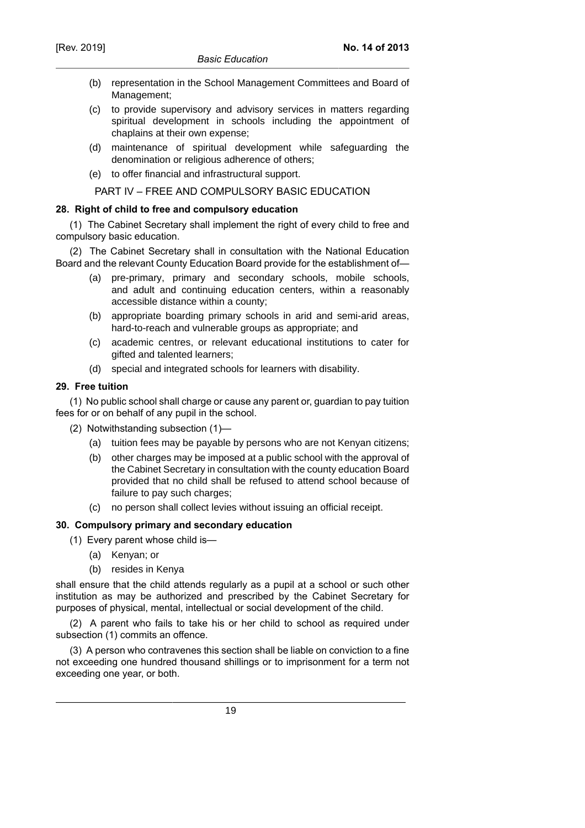- (b) representation in the School Management Committees and Board of Management;
- (c) to provide supervisory and advisory services in matters regarding spiritual development in schools including the appointment of chaplains at their own expense;
- (d) maintenance of spiritual development while safeguarding the denomination or religious adherence of others;
- (e) to offer financial and infrastructural support.

PART IV – FREE AND COMPULSORY BASIC EDUCATION

### **28. Right of child to free and compulsory education**

(1) The Cabinet Secretary shall implement the right of every child to free and compulsory basic education.

(2) The Cabinet Secretary shall in consultation with the National Education Board and the relevant County Education Board provide for the establishment of—

- (a) pre-primary, primary and secondary schools, mobile schools, and adult and continuing education centers, within a reasonably accessible distance within a county;
- (b) appropriate boarding primary schools in arid and semi-arid areas, hard-to-reach and vulnerable groups as appropriate; and
- (c) academic centres, or relevant educational institutions to cater for gifted and talented learners;
- (d) special and integrated schools for learners with disability.

### **29. Free tuition**

(1) No public school shall charge or cause any parent or, guardian to pay tuition fees for or on behalf of any pupil in the school.

- (2) Notwithstanding subsection (1)—
	- (a) tuition fees may be payable by persons who are not Kenyan citizens;
	- (b) other charges may be imposed at a public school with the approval of the Cabinet Secretary in consultation with the county education Board provided that no child shall be refused to attend school because of failure to pay such charges;
	- (c) no person shall collect levies without issuing an official receipt.

### **30. Compulsory primary and secondary education**

- (1) Every parent whose child is—
	- (a) Kenyan; or
	- (b) resides in Kenya

shall ensure that the child attends regularly as a pupil at a school or such other institution as may be authorized and prescribed by the Cabinet Secretary for purposes of physical, mental, intellectual or social development of the child.

(2) A parent who fails to take his or her child to school as required under subsection (1) commits an offence.

(3) A person who contravenes this section shall be liable on conviction to a fine not exceeding one hundred thousand shillings or to imprisonment for a term not exceeding one year, or both.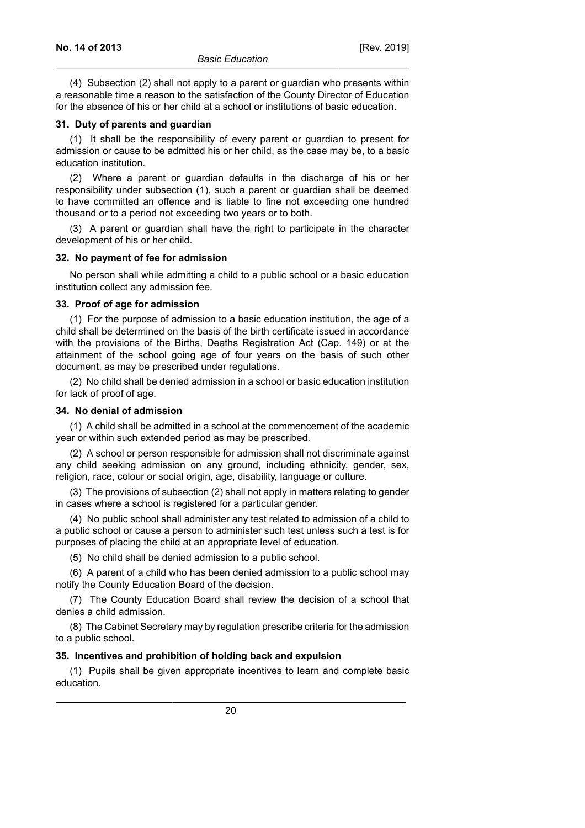(4) Subsection (2) shall not apply to a parent or guardian who presents within a reasonable time a reason to the satisfaction of the County Director of Education for the absence of his or her child at a school or institutions of basic education.

#### **31. Duty of parents and guardian**

(1) It shall be the responsibility of every parent or guardian to present for admission or cause to be admitted his or her child, as the case may be, to a basic education institution.

(2) Where a parent or guardian defaults in the discharge of his or her responsibility under subsection (1), such a parent or guardian shall be deemed to have committed an offence and is liable to fine not exceeding one hundred thousand or to a period not exceeding two years or to both.

(3) A parent or guardian shall have the right to participate in the character development of his or her child.

#### **32. No payment of fee for admission**

No person shall while admitting a child to a public school or a basic education institution collect any admission fee.

#### **33. Proof of age for admission**

(1) For the purpose of admission to a basic education institution, the age of a child shall be determined on the basis of the birth certificate issued in accordance with the provisions of the Births, Deaths Registration Act (Cap. 149) or at the attainment of the school going age of four years on the basis of such other document, as may be prescribed under regulations.

(2) No child shall be denied admission in a school or basic education institution for lack of proof of age.

#### **34. No denial of admission**

(1) A child shall be admitted in a school at the commencement of the academic year or within such extended period as may be prescribed.

(2) A school or person responsible for admission shall not discriminate against any child seeking admission on any ground, including ethnicity, gender, sex, religion, race, colour or social origin, age, disability, language or culture.

(3) The provisions of subsection (2) shall not apply in matters relating to gender in cases where a school is registered for a particular gender.

(4) No public school shall administer any test related to admission of a child to a public school or cause a person to administer such test unless such a test is for purposes of placing the child at an appropriate level of education.

(5) No child shall be denied admission to a public school.

(6) A parent of a child who has been denied admission to a public school may notify the County Education Board of the decision.

(7) The County Education Board shall review the decision of a school that denies a child admission.

(8) The Cabinet Secretary may by regulation prescribe criteria for the admission to a public school.

#### **35. Incentives and prohibition of holding back and expulsion**

(1) Pupils shall be given appropriate incentives to learn and complete basic education.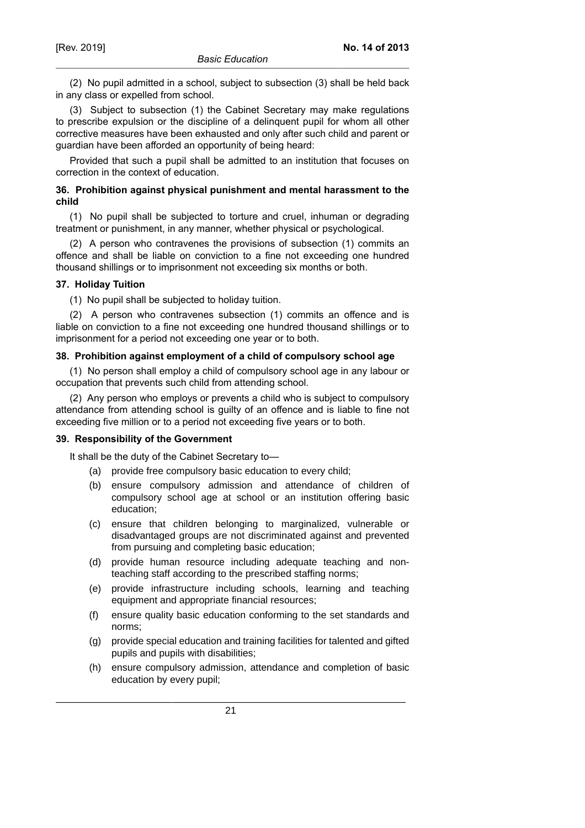(2) No pupil admitted in a school, subject to subsection (3) shall be held back in any class or expelled from school.

(3) Subject to subsection (1) the Cabinet Secretary may make regulations to prescribe expulsion or the discipline of a delinquent pupil for whom all other corrective measures have been exhausted and only after such child and parent or guardian have been afforded an opportunity of being heard:

Provided that such a pupil shall be admitted to an institution that focuses on correction in the context of education.

# **36. Prohibition against physical punishment and mental harassment to the child**

(1) No pupil shall be subjected to torture and cruel, inhuman or degrading treatment or punishment, in any manner, whether physical or psychological.

(2) A person who contravenes the provisions of subsection (1) commits an offence and shall be liable on conviction to a fine not exceeding one hundred thousand shillings or to imprisonment not exceeding six months or both.

### **37. Holiday Tuition**

(1) No pupil shall be subjected to holiday tuition.

(2) A person who contravenes subsection (1) commits an offence and is liable on conviction to a fine not exceeding one hundred thousand shillings or to imprisonment for a period not exceeding one year or to both.

### **38. Prohibition against employment of a child of compulsory school age**

(1) No person shall employ a child of compulsory school age in any labour or occupation that prevents such child from attending school.

(2) Any person who employs or prevents a child who is subject to compulsory attendance from attending school is guilty of an offence and is liable to fine not exceeding five million or to a period not exceeding five years or to both.

#### **39. Responsibility of the Government**

It shall be the duty of the Cabinet Secretary to—

- (a) provide free compulsory basic education to every child;
- (b) ensure compulsory admission and attendance of children of compulsory school age at school or an institution offering basic education;
- (c) ensure that children belonging to marginalized, vulnerable or disadvantaged groups are not discriminated against and prevented from pursuing and completing basic education;
- (d) provide human resource including adequate teaching and nonteaching staff according to the prescribed staffing norms;
- (e) provide infrastructure including schools, learning and teaching equipment and appropriate financial resources;
- (f) ensure quality basic education conforming to the set standards and norms;
- (g) provide special education and training facilities for talented and gifted pupils and pupils with disabilities;
- (h) ensure compulsory admission, attendance and completion of basic education by every pupil;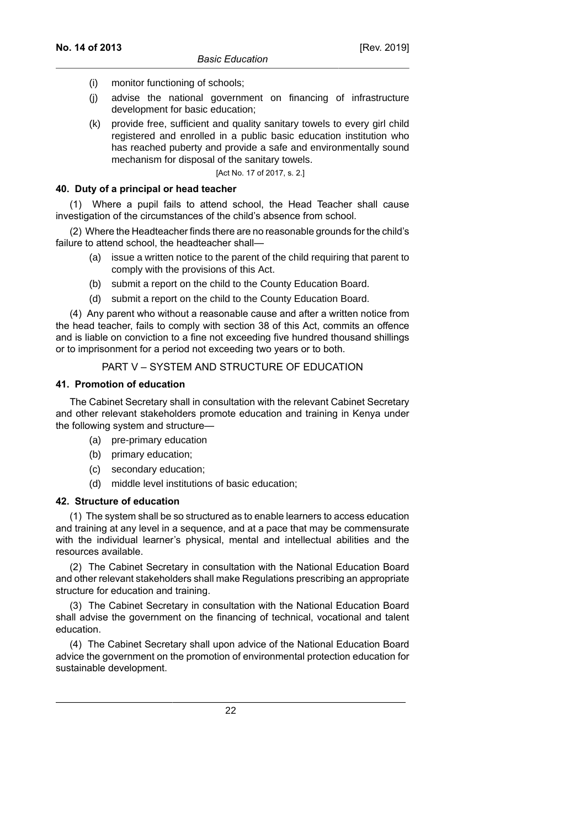- (i) monitor functioning of schools;
- (j) advise the national government on financing of infrastructure development for basic education;
- (k) provide free, sufficient and quality sanitary towels to every girl child registered and enrolled in a public basic education institution who has reached puberty and provide a safe and environmentally sound mechanism for disposal of the sanitary towels.

[Act No. 17 of 2017, s. 2.]

#### **40. Duty of a principal or head teacher**

(1) Where a pupil fails to attend school, the Head Teacher shall cause investigation of the circumstances of the child's absence from school.

(2) Where the Headteacher finds there are no reasonable grounds for the child's failure to attend school, the headteacher shall—

- (a) issue a written notice to the parent of the child requiring that parent to comply with the provisions of this Act.
- (b) submit a report on the child to the County Education Board.
- (d) submit a report on the child to the County Education Board.

(4) Any parent who without a reasonable cause and after a written notice from the head teacher, fails to comply with section 38 of this Act, commits an offence and is liable on conviction to a fine not exceeding five hundred thousand shillings or to imprisonment for a period not exceeding two years or to both.

### PART V – SYSTEM AND STRUCTURE OF EDUCATION

#### **41. Promotion of education**

The Cabinet Secretary shall in consultation with the relevant Cabinet Secretary and other relevant stakeholders promote education and training in Kenya under the following system and structure—

- (a) pre-primary education
- (b) primary education;
- (c) secondary education;
- (d) middle level institutions of basic education;

#### **42. Structure of education**

(1) The system shall be so structured as to enable learners to access education and training at any level in a sequence, and at a pace that may be commensurate with the individual learner's physical, mental and intellectual abilities and the resources available.

(2) The Cabinet Secretary in consultation with the National Education Board and other relevant stakeholders shall make Regulations prescribing an appropriate structure for education and training.

(3) The Cabinet Secretary in consultation with the National Education Board shall advise the government on the financing of technical, vocational and talent education.

(4) The Cabinet Secretary shall upon advice of the National Education Board advice the government on the promotion of environmental protection education for sustainable development.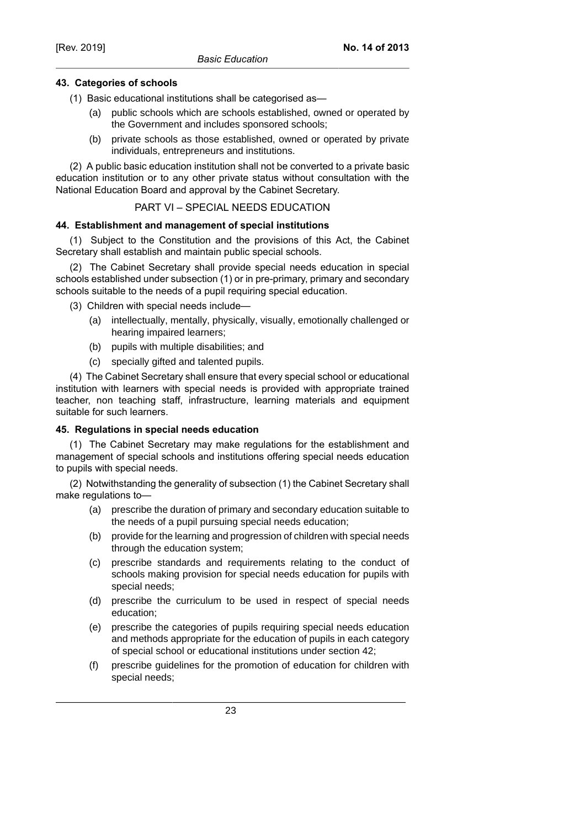# **43. Categories of schools**

(1) Basic educational institutions shall be categorised as—

- (a) public schools which are schools established, owned or operated by the Government and includes sponsored schools;
- (b) private schools as those established, owned or operated by private individuals, entrepreneurs and institutions.

(2) A public basic education institution shall not be converted to a private basic education institution or to any other private status without consultation with the National Education Board and approval by the Cabinet Secretary.

### PART VI – SPECIAL NEEDS EDUCATION

#### **44. Establishment and management of special institutions**

(1) Subject to the Constitution and the provisions of this Act, the Cabinet Secretary shall establish and maintain public special schools.

(2) The Cabinet Secretary shall provide special needs education in special schools established under subsection (1) or in pre-primary, primary and secondary schools suitable to the needs of a pupil requiring special education.

- (3) Children with special needs include—
	- (a) intellectually, mentally, physically, visually, emotionally challenged or hearing impaired learners;
	- (b) pupils with multiple disabilities; and
	- (c) specially gifted and talented pupils.

(4) The Cabinet Secretary shall ensure that every special school or educational institution with learners with special needs is provided with appropriate trained teacher, non teaching staff, infrastructure, learning materials and equipment suitable for such learners.

# **45. Regulations in special needs education**

(1) The Cabinet Secretary may make regulations for the establishment and management of special schools and institutions offering special needs education to pupils with special needs.

(2) Notwithstanding the generality of subsection (1) the Cabinet Secretary shall make regulations to—

- (a) prescribe the duration of primary and secondary education suitable to the needs of a pupil pursuing special needs education;
- (b) provide for the learning and progression of children with special needs through the education system;
- (c) prescribe standards and requirements relating to the conduct of schools making provision for special needs education for pupils with special needs;
- (d) prescribe the curriculum to be used in respect of special needs education;
- (e) prescribe the categories of pupils requiring special needs education and methods appropriate for the education of pupils in each category of special school or educational institutions under section 42;
- (f) prescribe guidelines for the promotion of education for children with special needs;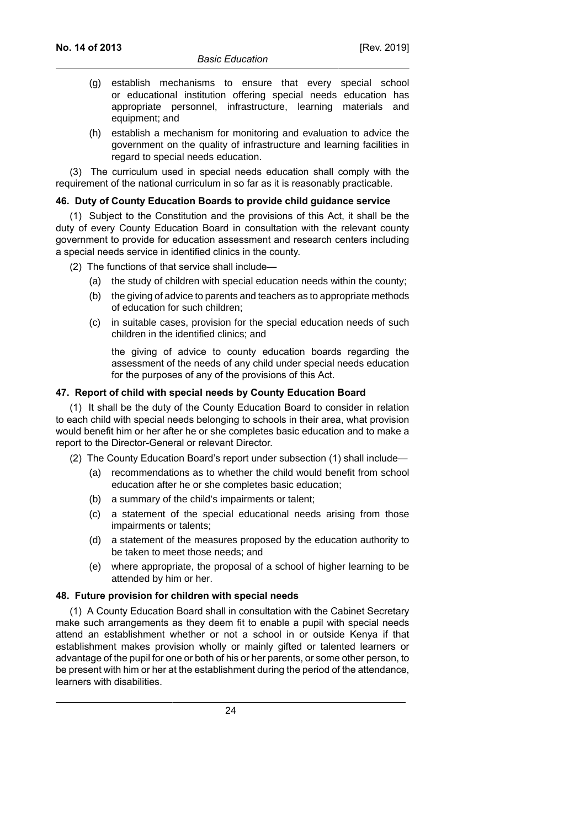- (g) establish mechanisms to ensure that every special school or educational institution offering special needs education has appropriate personnel, infrastructure, learning materials and equipment; and
- (h) establish a mechanism for monitoring and evaluation to advice the government on the quality of infrastructure and learning facilities in regard to special needs education.

(3) The curriculum used in special needs education shall comply with the requirement of the national curriculum in so far as it is reasonably practicable.

### **46. Duty of County Education Boards to provide child guidance service**

(1) Subject to the Constitution and the provisions of this Act, it shall be the duty of every County Education Board in consultation with the relevant county government to provide for education assessment and research centers including a special needs service in identified clinics in the county.

- (2) The functions of that service shall include—
	- (a) the study of children with special education needs within the county;
	- (b) the giving of advice to parents and teachers as to appropriate methods of education for such children;
	- (c) in suitable cases, provision for the special education needs of such children in the identified clinics; and

the giving of advice to county education boards regarding the assessment of the needs of any child under special needs education for the purposes of any of the provisions of this Act.

# **47. Report of child with special needs by County Education Board**

(1) It shall be the duty of the County Education Board to consider in relation to each child with special needs belonging to schools in their area, what provision would benefit him or her after he or she completes basic education and to make a report to the Director-General or relevant Director.

- (2) The County Education Board's report under subsection (1) shall include—
	- (a) recommendations as to whether the child would benefit from school education after he or she completes basic education;
	- (b) a summary of the child's impairments or talent;
	- (c) a statement of the special educational needs arising from those impairments or talents;
	- (d) a statement of the measures proposed by the education authority to be taken to meet those needs; and
	- (e) where appropriate, the proposal of a school of higher learning to be attended by him or her.

# **48. Future provision for children with special needs**

(1) A County Education Board shall in consultation with the Cabinet Secretary make such arrangements as they deem fit to enable a pupil with special needs attend an establishment whether or not a school in or outside Kenya if that establishment makes provision wholly or mainly gifted or talented learners or advantage of the pupil for one or both of his or her parents, or some other person, to be present with him or her at the establishment during the period of the attendance, learners with disabilities.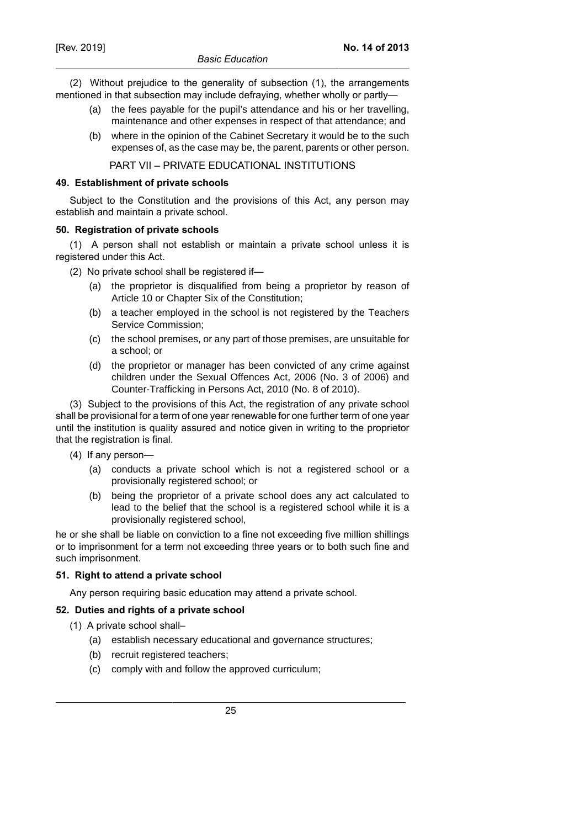(2) Without prejudice to the generality of subsection (1), the arrangements mentioned in that subsection may include defraying, whether wholly or partly—

- (a) the fees payable for the pupil's attendance and his or her travelling, maintenance and other expenses in respect of that attendance; and
- (b) where in the opinion of the Cabinet Secretary it would be to the such expenses of, as the case may be, the parent, parents or other person.

PART VII – PRIVATE EDUCATIONAL INSTITUTIONS

#### **49. Establishment of private schools**

Subject to the Constitution and the provisions of this Act, any person may establish and maintain a private school.

### **50. Registration of private schools**

(1) A person shall not establish or maintain a private school unless it is registered under this Act.

(2) No private school shall be registered if—

- (a) the proprietor is disqualified from being a proprietor by reason of Article 10 or Chapter Six of the Constitution;
- (b) a teacher employed in the school is not registered by the Teachers Service Commission;
- (c) the school premises, or any part of those premises, are unsuitable for a school; or
- (d) the proprietor or manager has been convicted of any crime against children under the Sexual Offences Act, 2006 (No. 3 of 2006) and Counter-Trafficking in Persons Act, 2010 (No. 8 of 2010).

(3) Subject to the provisions of this Act, the registration of any private school shall be provisional for a term of one year renewable for one further term of one year until the institution is quality assured and notice given in writing to the proprietor that the registration is final.

- (4) If any person—
	- (a) conducts a private school which is not a registered school or a provisionally registered school; or
	- (b) being the proprietor of a private school does any act calculated to lead to the belief that the school is a registered school while it is a provisionally registered school,

he or she shall be liable on conviction to a fine not exceeding five million shillings or to imprisonment for a term not exceeding three years or to both such fine and such imprisonment.

# **51. Right to attend a private school**

Any person requiring basic education may attend a private school.

# **52. Duties and rights of a private school**

- (1) A private school shall–
	- (a) establish necessary educational and governance structures;
	- (b) recruit registered teachers;
	- (c) comply with and follow the approved curriculum;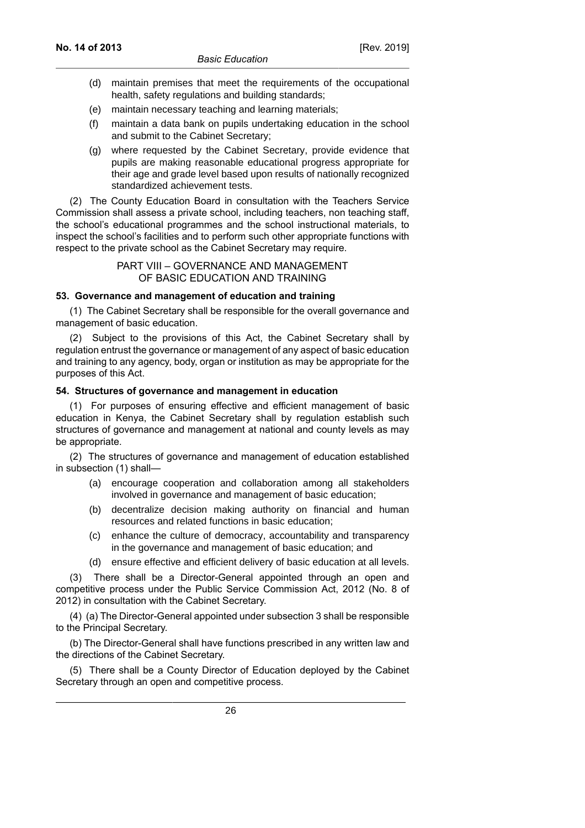- (d) maintain premises that meet the requirements of the occupational health, safety regulations and building standards;
- (e) maintain necessary teaching and learning materials;
- (f) maintain a data bank on pupils undertaking education in the school and submit to the Cabinet Secretary;
- (g) where requested by the Cabinet Secretary, provide evidence that pupils are making reasonable educational progress appropriate for their age and grade level based upon results of nationally recognized standardized achievement tests.

(2) The County Education Board in consultation with the Teachers Service Commission shall assess a private school, including teachers, non teaching staff, the school's educational programmes and the school instructional materials, to inspect the school's facilities and to perform such other appropriate functions with respect to the private school as the Cabinet Secretary may require.

> PART VIII – GOVERNANCE AND MANAGEMENT OF BASIC EDUCATION AND TRAINING

### **53. Governance and management of education and training**

(1) The Cabinet Secretary shall be responsible for the overall governance and management of basic education.

(2) Subject to the provisions of this Act, the Cabinet Secretary shall by regulation entrust the governance or management of any aspect of basic education and training to any agency, body, organ or institution as may be appropriate for the purposes of this Act.

### **54. Structures of governance and management in education**

(1) For purposes of ensuring effective and efficient management of basic education in Kenya, the Cabinet Secretary shall by regulation establish such structures of governance and management at national and county levels as may be appropriate.

(2) The structures of governance and management of education established in subsection (1) shall—

- (a) encourage cooperation and collaboration among all stakeholders involved in governance and management of basic education;
- (b) decentralize decision making authority on financial and human resources and related functions in basic education;
- (c) enhance the culture of democracy, accountability and transparency in the governance and management of basic education; and
- (d) ensure effective and efficient delivery of basic education at all levels.

(3) There shall be a Director-General appointed through an open and competitive process under the Public Service Commission Act, 2012 (No. 8 of 2012) in consultation with the Cabinet Secretary.

(4) (a) The Director-General appointed under subsection 3 shall be responsible to the Principal Secretary.

(b) The Director-General shall have functions prescribed in any written law and the directions of the Cabinet Secretary.

(5) There shall be a County Director of Education deployed by the Cabinet Secretary through an open and competitive process.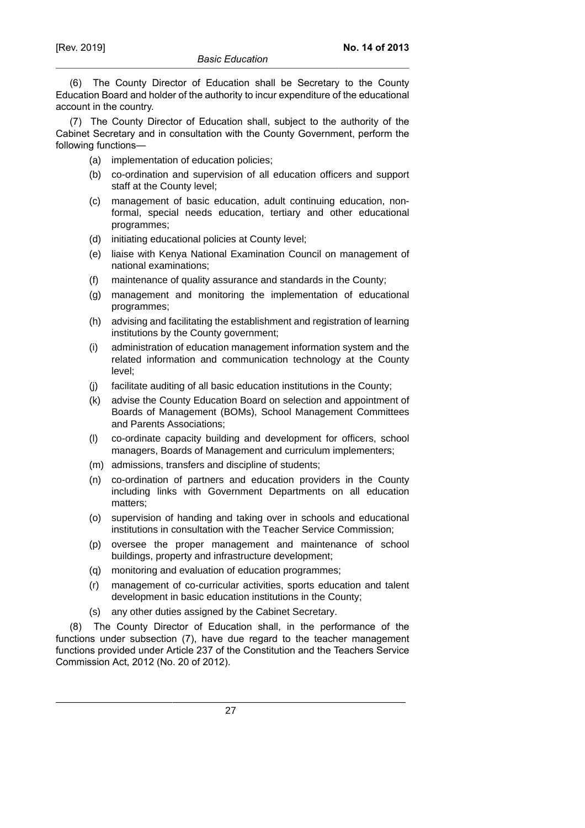(6) The County Director of Education shall be Secretary to the County Education Board and holder of the authority to incur expenditure of the educational account in the country.

(7) The County Director of Education shall, subject to the authority of the Cabinet Secretary and in consultation with the County Government, perform the following functions—

- (a) implementation of education policies;
- (b) co-ordination and supervision of all education officers and support staff at the County level;
- (c) management of basic education, adult continuing education, nonformal, special needs education, tertiary and other educational programmes;
- (d) initiating educational policies at County level;
- (e) liaise with Kenya National Examination Council on management of national examinations;
- (f) maintenance of quality assurance and standards in the County;
- (g) management and monitoring the implementation of educational programmes;
- (h) advising and facilitating the establishment and registration of learning institutions by the County government;
- (i) administration of education management information system and the related information and communication technology at the County level;
- (j) facilitate auditing of all basic education institutions in the County;
- (k) advise the County Education Board on selection and appointment of Boards of Management (BOMs), School Management Committees and Parents Associations;
- (l) co-ordinate capacity building and development for officers, school managers, Boards of Management and curriculum implementers;
- (m) admissions, transfers and discipline of students;
- (n) co-ordination of partners and education providers in the County including links with Government Departments on all education matters;
- (o) supervision of handing and taking over in schools and educational institutions in consultation with the Teacher Service Commission;
- (p) oversee the proper management and maintenance of school buildings, property and infrastructure development;
- (q) monitoring and evaluation of education programmes;
- (r) management of co-curricular activities, sports education and talent development in basic education institutions in the County;
- (s) any other duties assigned by the Cabinet Secretary.

(8) The County Director of Education shall, in the performance of the functions under subsection (7), have due regard to the teacher management functions provided under Article 237 of the Constitution and the Teachers Service Commission Act, 2012 (No. 20 of 2012).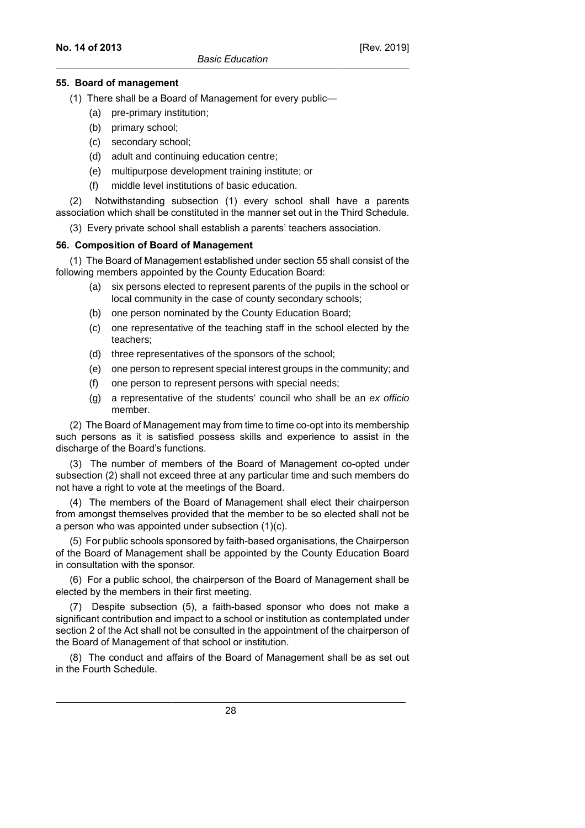### **55. Board of management**

- (1) There shall be a Board of Management for every public—
	- (a) pre-primary institution;
	- (b) primary school;
	- (c) secondary school;
	- (d) adult and continuing education centre;
	- (e) multipurpose development training institute; or
	- (f) middle level institutions of basic education.

(2) Notwithstanding subsection (1) every school shall have a parents association which shall be constituted in the manner set out in the Third Schedule.

(3) Every private school shall establish a parents' teachers association.

# **56. Composition of Board of Management**

(1) The Board of Management established under section 55 shall consist of the following members appointed by the County Education Board:

- (a) six persons elected to represent parents of the pupils in the school or local community in the case of county secondary schools;
- (b) one person nominated by the County Education Board;
- (c) one representative of the teaching staff in the school elected by the teachers;
- (d) three representatives of the sponsors of the school;
- (e) one person to represent special interest groups in the community; and
- (f) one person to represent persons with special needs;
- (g) a representative of the students' council who shall be an ex officio member.

(2) The Board of Management may from time to time co-opt into its membership such persons as it is satisfied possess skills and experience to assist in the discharge of the Board's functions.

(3) The number of members of the Board of Management co-opted under subsection (2) shall not exceed three at any particular time and such members do not have a right to vote at the meetings of the Board.

(4) The members of the Board of Management shall elect their chairperson from amongst themselves provided that the member to be so elected shall not be a person who was appointed under subsection (1)(c).

(5) For public schools sponsored by faith-based organisations, the Chairperson of the Board of Management shall be appointed by the County Education Board in consultation with the sponsor.

(6) For a public school, the chairperson of the Board of Management shall be elected by the members in their first meeting.

(7) Despite subsection (5), a faith-based sponsor who does not make a significant contribution and impact to a school or institution as contemplated under section 2 of the Act shall not be consulted in the appointment of the chairperson of the Board of Management of that school or institution.

(8) The conduct and affairs of the Board of Management shall be as set out in the Fourth Schedule.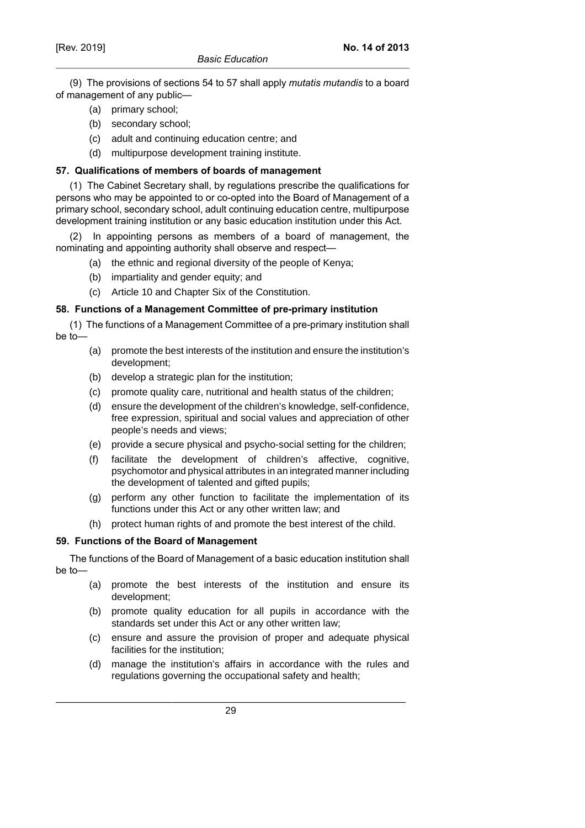(9) The provisions of sections 54 to 57 shall apply *mutatis mutandis* to a board of management of any public—

- (a) primary school;
- (b) secondary school;
- (c) adult and continuing education centre; and
- (d) multipurpose development training institute.

### **57. Qualifications of members of boards of management**

(1) The Cabinet Secretary shall, by regulations prescribe the qualifications for persons who may be appointed to or co-opted into the Board of Management of a primary school, secondary school, adult continuing education centre, multipurpose development training institution or any basic education institution under this Act.

(2) In appointing persons as members of a board of management, the nominating and appointing authority shall observe and respect—

- (a) the ethnic and regional diversity of the people of Kenya;
- (b) impartiality and gender equity; and
- (c) Article 10 and Chapter Six of the Constitution.

#### **58. Functions of a Management Committee of pre-primary institution**

(1) The functions of a Management Committee of a pre-primary institution shall be to—

- (a) promote the best interests of the institution and ensure the institution's development;
- (b) develop a strategic plan for the institution;
- (c) promote quality care, nutritional and health status of the children;
- (d) ensure the development of the children's knowledge, self-confidence, free expression, spiritual and social values and appreciation of other people's needs and views;
- (e) provide a secure physical and psycho-social setting for the children;
- (f) facilitate the development of children's affective, cognitive, psychomotor and physical attributes in an integrated manner including the development of talented and gifted pupils;
- (g) perform any other function to facilitate the implementation of its functions under this Act or any other written law; and
- (h) protect human rights of and promote the best interest of the child.

#### **59. Functions of the Board of Management**

The functions of the Board of Management of a basic education institution shall be to—

- (a) promote the best interests of the institution and ensure its development;
- (b) promote quality education for all pupils in accordance with the standards set under this Act or any other written law;
- (c) ensure and assure the provision of proper and adequate physical facilities for the institution;
- (d) manage the institution's affairs in accordance with the rules and regulations governing the occupational safety and health;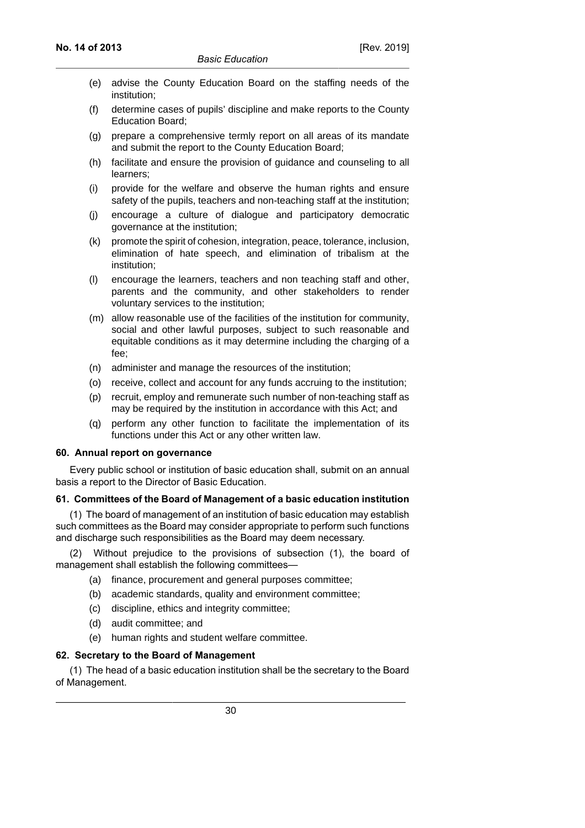- (e) advise the County Education Board on the staffing needs of the institution;
- (f) determine cases of pupils' discipline and make reports to the County Education Board;
- (g) prepare a comprehensive termly report on all areas of its mandate and submit the report to the County Education Board;
- (h) facilitate and ensure the provision of guidance and counseling to all learners;
- (i) provide for the welfare and observe the human rights and ensure safety of the pupils, teachers and non-teaching staff at the institution;
- (j) encourage a culture of dialogue and participatory democratic governance at the institution;
- (k) promote the spirit of cohesion, integration, peace, tolerance, inclusion, elimination of hate speech, and elimination of tribalism at the institution;
- (l) encourage the learners, teachers and non teaching staff and other, parents and the community, and other stakeholders to render voluntary services to the institution;
- (m) allow reasonable use of the facilities of the institution for community, social and other lawful purposes, subject to such reasonable and equitable conditions as it may determine including the charging of a fee;
- (n) administer and manage the resources of the institution;
- (o) receive, collect and account for any funds accruing to the institution;
- (p) recruit, employ and remunerate such number of non-teaching staff as may be required by the institution in accordance with this Act; and
- (q) perform any other function to facilitate the implementation of its functions under this Act or any other written law.

#### **60. Annual report on governance**

Every public school or institution of basic education shall, submit on an annual basis a report to the Director of Basic Education.

# **61. Committees of the Board of Management of a basic education institution**

(1) The board of management of an institution of basic education may establish such committees as the Board may consider appropriate to perform such functions and discharge such responsibilities as the Board may deem necessary.

(2) Without prejudice to the provisions of subsection (1), the board of management shall establish the following committees—

- (a) finance, procurement and general purposes committee;
- (b) academic standards, quality and environment committee;
- (c) discipline, ethics and integrity committee;
- (d) audit committee; and
- (e) human rights and student welfare committee.

# **62. Secretary to the Board of Management**

(1) The head of a basic education institution shall be the secretary to the Board of Management.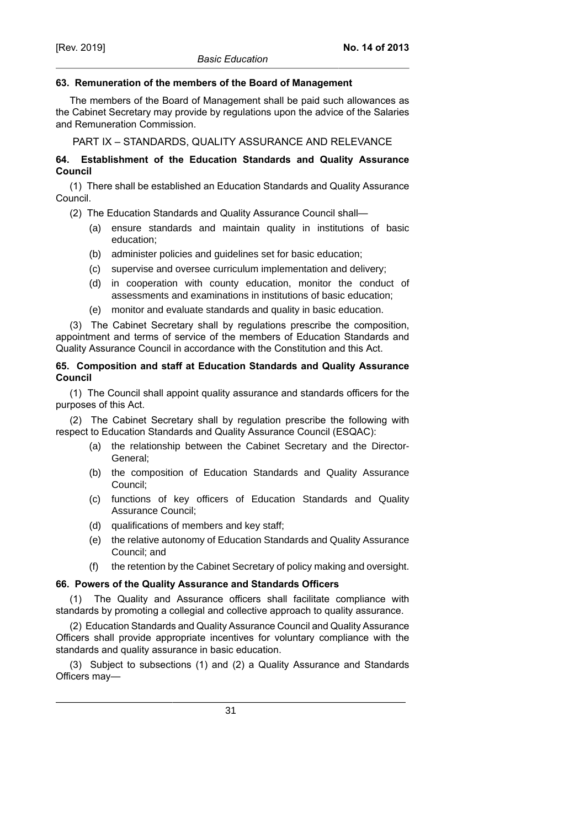### **63. Remuneration of the members of the Board of Management**

The members of the Board of Management shall be paid such allowances as the Cabinet Secretary may provide by regulations upon the advice of the Salaries and Remuneration Commission.

PART IX – STANDARDS, QUALITY ASSURANCE AND RELEVANCE

# **64. Establishment of the Education Standards and Quality Assurance Council**

(1) There shall be established an Education Standards and Quality Assurance Council.

- (2) The Education Standards and Quality Assurance Council shall—
	- (a) ensure standards and maintain quality in institutions of basic education;
	- (b) administer policies and guidelines set for basic education;
	- (c) supervise and oversee curriculum implementation and delivery;
	- (d) in cooperation with county education, monitor the conduct of assessments and examinations in institutions of basic education;
	- (e) monitor and evaluate standards and quality in basic education.

(3) The Cabinet Secretary shall by regulations prescribe the composition, appointment and terms of service of the members of Education Standards and Quality Assurance Council in accordance with the Constitution and this Act.

# **65. Composition and staff at Education Standards and Quality Assurance Council**

(1) The Council shall appoint quality assurance and standards officers for the purposes of this Act.

(2) The Cabinet Secretary shall by regulation prescribe the following with respect to Education Standards and Quality Assurance Council (ESQAC):

- (a) the relationship between the Cabinet Secretary and the Director-General;
- (b) the composition of Education Standards and Quality Assurance Council;
- (c) functions of key officers of Education Standards and Quality Assurance Council;
- (d) qualifications of members and key staff;
- (e) the relative autonomy of Education Standards and Quality Assurance Council; and
- (f) the retention by the Cabinet Secretary of policy making and oversight.

# **66. Powers of the Quality Assurance and Standards Officers**

(1) The Quality and Assurance officers shall facilitate compliance with standards by promoting a collegial and collective approach to quality assurance.

(2) Education Standards and Quality Assurance Council and Quality Assurance Officers shall provide appropriate incentives for voluntary compliance with the standards and quality assurance in basic education.

(3) Subject to subsections (1) and (2) a Quality Assurance and Standards Officers may—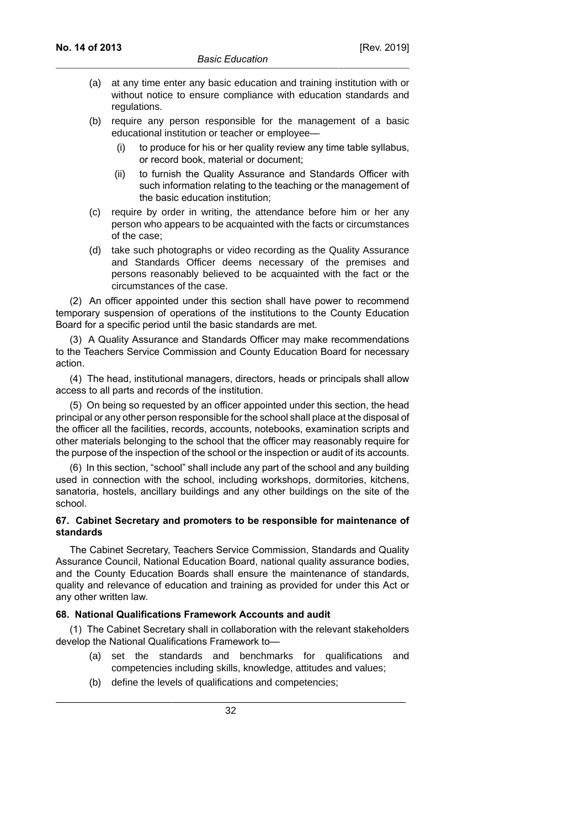- (a) at any time enter any basic education and training institution with or without notice to ensure compliance with education standards and regulations.
- (b) require any person responsible for the management of a basic educational institution or teacher or employee—
	- (i) to produce for his or her quality review any time table syllabus, or record book, material or document;
	- (ii) to furnish the Quality Assurance and Standards Officer with such information relating to the teaching or the management of the basic education institution;
- (c) require by order in writing, the attendance before him or her any person who appears to be acquainted with the facts or circumstances of the case;
- (d) take such photographs or video recording as the Quality Assurance and Standards Officer deems necessary of the premises and persons reasonably believed to be acquainted with the fact or the circumstances of the case.

(2) An officer appointed under this section shall have power to recommend temporary suspension of operations of the institutions to the County Education Board for a specific period until the basic standards are met.

(3) A Quality Assurance and Standards Officer may make recommendations to the Teachers Service Commission and County Education Board for necessary action.

(4) The head, institutional managers, directors, heads or principals shall allow access to all parts and records of the institution.

(5) On being so requested by an officer appointed under this section, the head principal or any other person responsible for the school shall place at the disposal of the officer all the facilities, records, accounts, notebooks, examination scripts and other materials belonging to the school that the officer may reasonably require for the purpose of the inspection of the school or the inspection or audit of its accounts.

(6) In this section, "school" shall include any part of the school and any building used in connection with the school, including workshops, dormitories, kitchens, sanatoria, hostels, ancillary buildings and any other buildings on the site of the school.

### **67. Cabinet Secretary and promoters to be responsible for maintenance of standards**

The Cabinet Secretary, Teachers Service Commission, Standards and Quality Assurance Council, National Education Board, national quality assurance bodies, and the County Education Boards shall ensure the maintenance of standards, quality and relevance of education and training as provided for under this Act or any other written law.

#### **68. National Qualifications Framework Accounts and audit**

(1) The Cabinet Secretary shall in collaboration with the relevant stakeholders develop the National Qualifications Framework to—

- (a) set the standards and benchmarks for qualifications and competencies including skills, knowledge, attitudes and values;
- (b) define the levels of qualifications and competencies;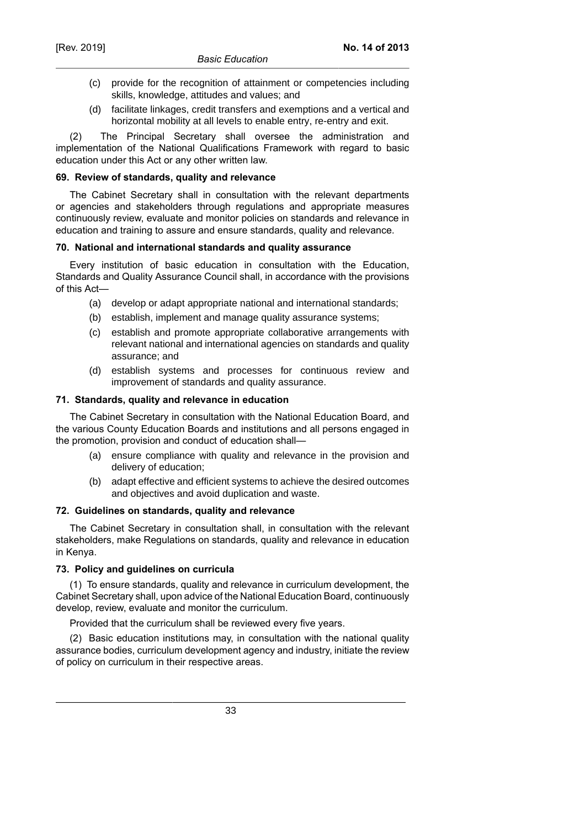- (c) provide for the recognition of attainment or competencies including skills, knowledge, attitudes and values; and
- (d) facilitate linkages, credit transfers and exemptions and a vertical and horizontal mobility at all levels to enable entry, re-entry and exit.

(2) The Principal Secretary shall oversee the administration and implementation of the National Qualifications Framework with regard to basic education under this Act or any other written law.

# **69. Review of standards, quality and relevance**

The Cabinet Secretary shall in consultation with the relevant departments or agencies and stakeholders through regulations and appropriate measures continuously review, evaluate and monitor policies on standards and relevance in education and training to assure and ensure standards, quality and relevance.

### **70. National and international standards and quality assurance**

Every institution of basic education in consultation with the Education, Standards and Quality Assurance Council shall, in accordance with the provisions of this Act—

- (a) develop or adapt appropriate national and international standards;
- (b) establish, implement and manage quality assurance systems;
- (c) establish and promote appropriate collaborative arrangements with relevant national and international agencies on standards and quality assurance; and
- (d) establish systems and processes for continuous review and improvement of standards and quality assurance.

### **71. Standards, quality and relevance in education**

The Cabinet Secretary in consultation with the National Education Board, and the various County Education Boards and institutions and all persons engaged in the promotion, provision and conduct of education shall—

- (a) ensure compliance with quality and relevance in the provision and delivery of education;
- (b) adapt effective and efficient systems to achieve the desired outcomes and objectives and avoid duplication and waste.

# **72. Guidelines on standards, quality and relevance**

The Cabinet Secretary in consultation shall, in consultation with the relevant stakeholders, make Regulations on standards, quality and relevance in education in Kenya.

# **73. Policy and guidelines on curricula**

(1) To ensure standards, quality and relevance in curriculum development, the Cabinet Secretary shall, upon advice of the National Education Board, continuously develop, review, evaluate and monitor the curriculum.

Provided that the curriculum shall be reviewed every five years.

(2) Basic education institutions may, in consultation with the national quality assurance bodies, curriculum development agency and industry, initiate the review of policy on curriculum in their respective areas.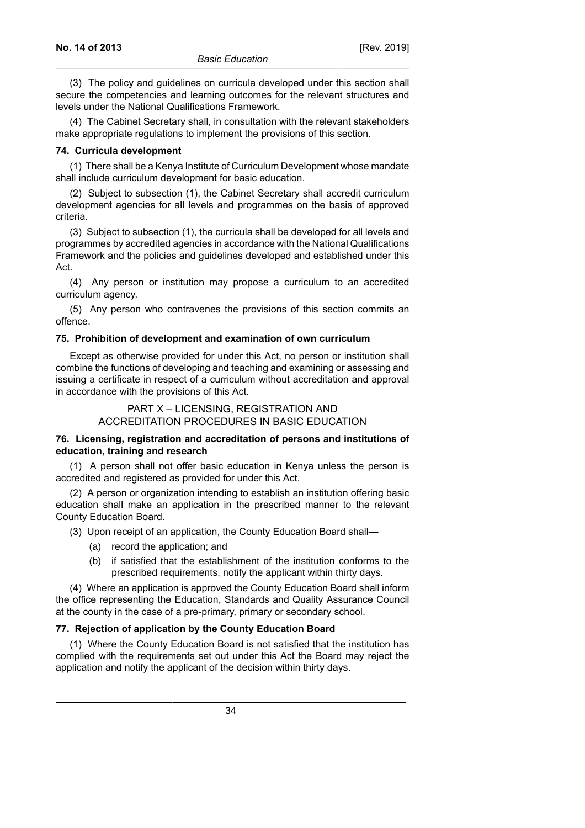(3) The policy and guidelines on curricula developed under this section shall secure the competencies and learning outcomes for the relevant structures and levels under the National Qualifications Framework.

(4) The Cabinet Secretary shall, in consultation with the relevant stakeholders make appropriate regulations to implement the provisions of this section.

#### **74. Curricula development**

(1) There shall be a Kenya Institute of Curriculum Development whose mandate shall include curriculum development for basic education.

(2) Subject to subsection (1), the Cabinet Secretary shall accredit curriculum development agencies for all levels and programmes on the basis of approved criteria.

(3) Subject to subsection (1), the curricula shall be developed for all levels and programmes by accredited agencies in accordance with the National Qualifications Framework and the policies and guidelines developed and established under this Act.

(4) Any person or institution may propose a curriculum to an accredited curriculum agency.

(5) Any person who contravenes the provisions of this section commits an offence.

### **75. Prohibition of development and examination of own curriculum**

Except as otherwise provided for under this Act, no person or institution shall combine the functions of developing and teaching and examining or assessing and issuing a certificate in respect of a curriculum without accreditation and approval in accordance with the provisions of this Act.

> PART X – LICENSING, REGISTRATION AND ACCREDITATION PROCEDURES IN BASIC EDUCATION

### **76. Licensing, registration and accreditation of persons and institutions of education, training and research**

(1) A person shall not offer basic education in Kenya unless the person is accredited and registered as provided for under this Act.

(2) A person or organization intending to establish an institution offering basic education shall make an application in the prescribed manner to the relevant County Education Board.

(3) Upon receipt of an application, the County Education Board shall—

- (a) record the application; and
- (b) if satisfied that the establishment of the institution conforms to the prescribed requirements, notify the applicant within thirty days.

(4) Where an application is approved the County Education Board shall inform the office representing the Education, Standards and Quality Assurance Council at the county in the case of a pre-primary, primary or secondary school.

### **77. Rejection of application by the County Education Board**

(1) Where the County Education Board is not satisfied that the institution has complied with the requirements set out under this Act the Board may reject the application and notify the applicant of the decision within thirty days.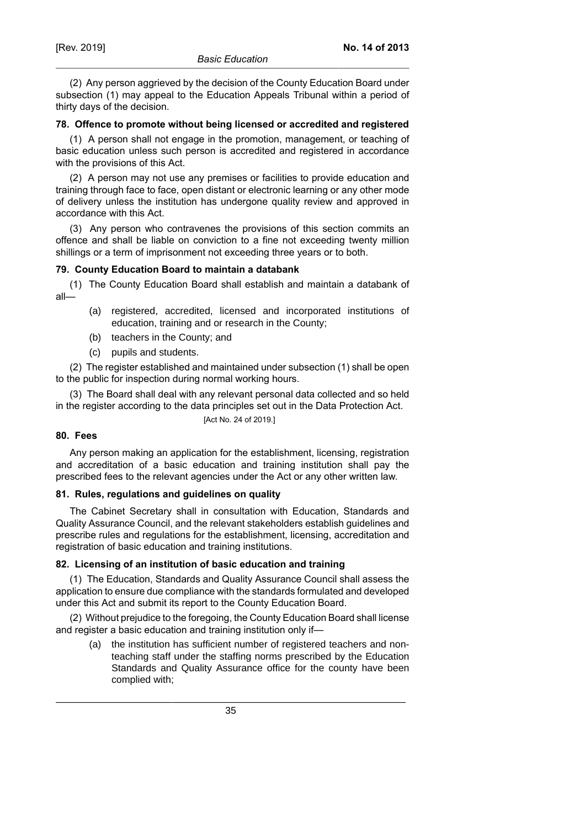**No. 14 of 2013**

(2) Any person aggrieved by the decision of the County Education Board under subsection (1) may appeal to the Education Appeals Tribunal within a period of thirty days of the decision.

### **78. Offence to promote without being licensed or accredited and registered**

(1) A person shall not engage in the promotion, management, or teaching of basic education unless such person is accredited and registered in accordance with the provisions of this Act.

(2) A person may not use any premises or facilities to provide education and training through face to face, open distant or electronic learning or any other mode of delivery unless the institution has undergone quality review and approved in accordance with this Act.

(3) Any person who contravenes the provisions of this section commits an offence and shall be liable on conviction to a fine not exceeding twenty million shillings or a term of imprisonment not exceeding three years or to both.

### **79. County Education Board to maintain a databank**

(1) The County Education Board shall establish and maintain a databank of all—

- (a) registered, accredited, licensed and incorporated institutions of education, training and or research in the County;
- (b) teachers in the County; and
- (c) pupils and students.

(2) The register established and maintained under subsection (1) shall be open to the public for inspection during normal working hours.

(3) The Board shall deal with any relevant personal data collected and so held in the register according to the data principles set out in the Data Protection Act.

[Act No. 24 of 2019.]

# **80. Fees**

Any person making an application for the establishment, licensing, registration and accreditation of a basic education and training institution shall pay the prescribed fees to the relevant agencies under the Act or any other written law.

# **81. Rules, regulations and guidelines on quality**

The Cabinet Secretary shall in consultation with Education, Standards and Quality Assurance Council, and the relevant stakeholders establish guidelines and prescribe rules and regulations for the establishment, licensing, accreditation and registration of basic education and training institutions.

# **82. Licensing of an institution of basic education and training**

(1) The Education, Standards and Quality Assurance Council shall assess the application to ensure due compliance with the standards formulated and developed under this Act and submit its report to the County Education Board.

(2) Without prejudice to the foregoing, the County Education Board shall license and register a basic education and training institution only if—

(a) the institution has sufficient number of registered teachers and nonteaching staff under the staffing norms prescribed by the Education Standards and Quality Assurance office for the county have been complied with;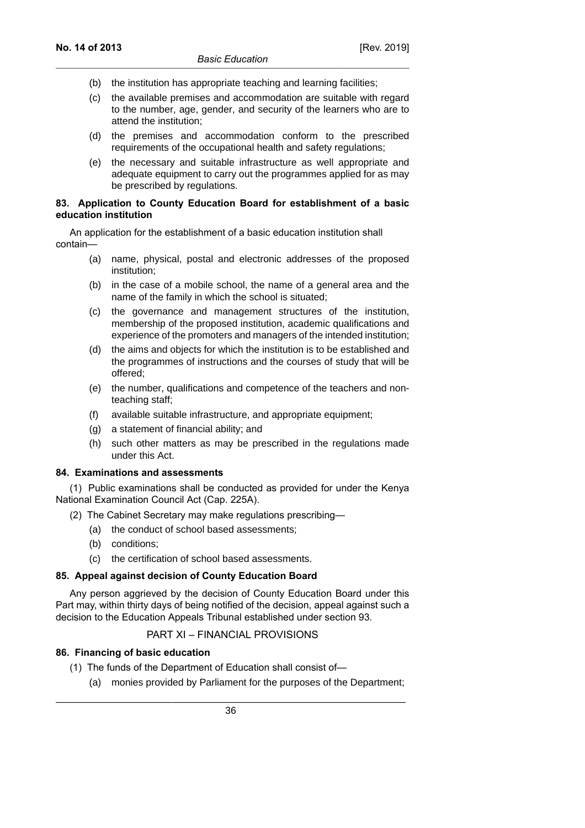- (b) the institution has appropriate teaching and learning facilities;
- (c) the available premises and accommodation are suitable with regard to the number, age, gender, and security of the learners who are to attend the institution;
- (d) the premises and accommodation conform to the prescribed requirements of the occupational health and safety regulations;
- (e) the necessary and suitable infrastructure as well appropriate and adequate equipment to carry out the programmes applied for as may be prescribed by regulations.

### **83. Application to County Education Board for establishment of a basic education institution**

An application for the establishment of a basic education institution shall contain—

- (a) name, physical, postal and electronic addresses of the proposed institution;
- (b) in the case of a mobile school, the name of a general area and the name of the family in which the school is situated;
- (c) the governance and management structures of the institution, membership of the proposed institution, academic qualifications and experience of the promoters and managers of the intended institution;
- (d) the aims and objects for which the institution is to be established and the programmes of instructions and the courses of study that will be offered;
- (e) the number, qualifications and competence of the teachers and nonteaching staff;
- (f) available suitable infrastructure, and appropriate equipment;
- (g) a statement of financial ability; and
- (h) such other matters as may be prescribed in the regulations made under this Act.

### **84. Examinations and assessments**

(1) Public examinations shall be conducted as provided for under the Kenya National Examination Council Act (Cap. 225A).

- (2) The Cabinet Secretary may make regulations prescribing—
	- (a) the conduct of school based assessments;
	- (b) conditions;
	- (c) the certification of school based assessments.

# **85. Appeal against decision of County Education Board**

Any person aggrieved by the decision of County Education Board under this Part may, within thirty days of being notified of the decision, appeal against such a decision to the Education Appeals Tribunal established under section 93.

# PART XI – FINANCIAL PROVISIONS

# **86. Financing of basic education**

- (1) The funds of the Department of Education shall consist of—
	- (a) monies provided by Parliament for the purposes of the Department;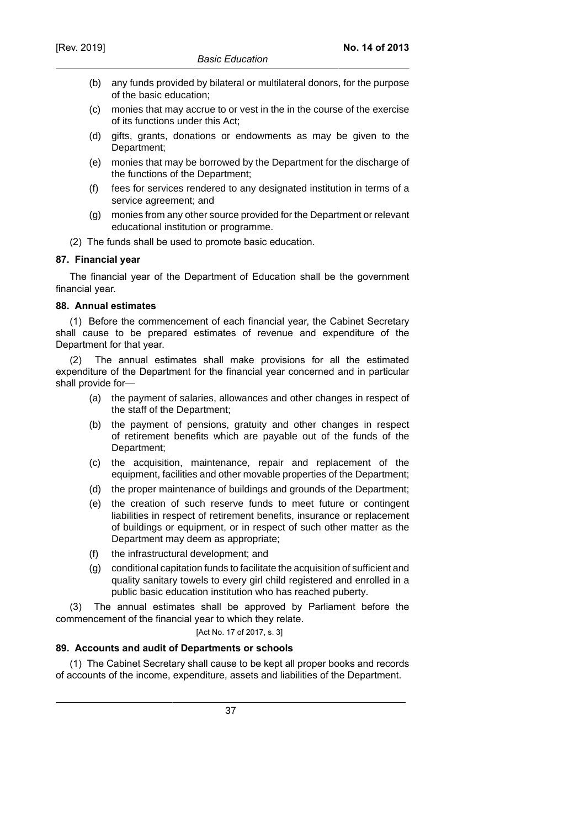- (b) any funds provided by bilateral or multilateral donors, for the purpose of the basic education;
- (c) monies that may accrue to or vest in the in the course of the exercise of its functions under this Act;
- (d) gifts, grants, donations or endowments as may be given to the Department;
- (e) monies that may be borrowed by the Department for the discharge of the functions of the Department;
- (f) fees for services rendered to any designated institution in terms of a service agreement; and
- (g) monies from any other source provided for the Department or relevant educational institution or programme.
- (2) The funds shall be used to promote basic education.

### **87. Financial year**

The financial year of the Department of Education shall be the government financial year.

### **88. Annual estimates**

(1) Before the commencement of each financial year, the Cabinet Secretary shall cause to be prepared estimates of revenue and expenditure of the Department for that year.

(2) The annual estimates shall make provisions for all the estimated expenditure of the Department for the financial year concerned and in particular shall provide for—

- (a) the payment of salaries, allowances and other changes in respect of the staff of the Department;
- (b) the payment of pensions, gratuity and other changes in respect of retirement benefits which are payable out of the funds of the Department;
- (c) the acquisition, maintenance, repair and replacement of the equipment, facilities and other movable properties of the Department;
- (d) the proper maintenance of buildings and grounds of the Department;
- (e) the creation of such reserve funds to meet future or contingent liabilities in respect of retirement benefits, insurance or replacement of buildings or equipment, or in respect of such other matter as the Department may deem as appropriate;
- (f) the infrastructural development; and
- (g) conditional capitation funds to facilitate the acquisition of sufficient and quality sanitary towels to every girl child registered and enrolled in a public basic education institution who has reached puberty.

(3) The annual estimates shall be approved by Parliament before the commencement of the financial year to which they relate.

[Act No. 17 of 2017, s. 3]

# **89. Accounts and audit of Departments or schools**

(1) The Cabinet Secretary shall cause to be kept all proper books and records of accounts of the income, expenditure, assets and liabilities of the Department.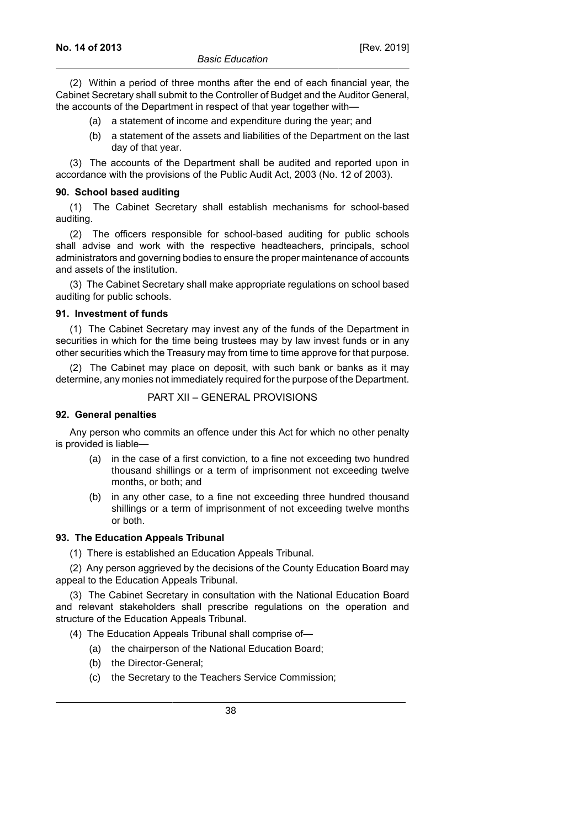(2) Within a period of three months after the end of each financial year, the Cabinet Secretary shall submit to the Controller of Budget and the Auditor General, the accounts of the Department in respect of that year together with—

- (a) a statement of income and expenditure during the year; and
- (b) a statement of the assets and liabilities of the Department on the last day of that year.

(3) The accounts of the Department shall be audited and reported upon in accordance with the provisions of the Public Audit Act, 2003 (No. 12 of 2003).

#### **90. School based auditing**

(1) The Cabinet Secretary shall establish mechanisms for school-based auditing.

(2) The officers responsible for school-based auditing for public schools shall advise and work with the respective headteachers, principals, school administrators and governing bodies to ensure the proper maintenance of accounts and assets of the institution.

(3) The Cabinet Secretary shall make appropriate regulations on school based auditing for public schools.

#### **91. Investment of funds**

(1) The Cabinet Secretary may invest any of the funds of the Department in securities in which for the time being trustees may by law invest funds or in any other securities which the Treasury may from time to time approve for that purpose.

(2) The Cabinet may place on deposit, with such bank or banks as it may determine, any monies not immediately required for the purpose of the Department.

### PART XII – GENERAL PROVISIONS

#### **92. General penalties**

Any person who commits an offence under this Act for which no other penalty is provided is liable—

- (a) in the case of a first conviction, to a fine not exceeding two hundred thousand shillings or a term of imprisonment not exceeding twelve months, or both; and
- (b) in any other case, to a fine not exceeding three hundred thousand shillings or a term of imprisonment of not exceeding twelve months or both.

### **93. The Education Appeals Tribunal**

(1) There is established an Education Appeals Tribunal.

(2) Any person aggrieved by the decisions of the County Education Board may appeal to the Education Appeals Tribunal.

(3) The Cabinet Secretary in consultation with the National Education Board and relevant stakeholders shall prescribe regulations on the operation and structure of the Education Appeals Tribunal.

- (4) The Education Appeals Tribunal shall comprise of—
	- (a) the chairperson of the National Education Board;
	- (b) the Director-General;
	- (c) the Secretary to the Teachers Service Commission;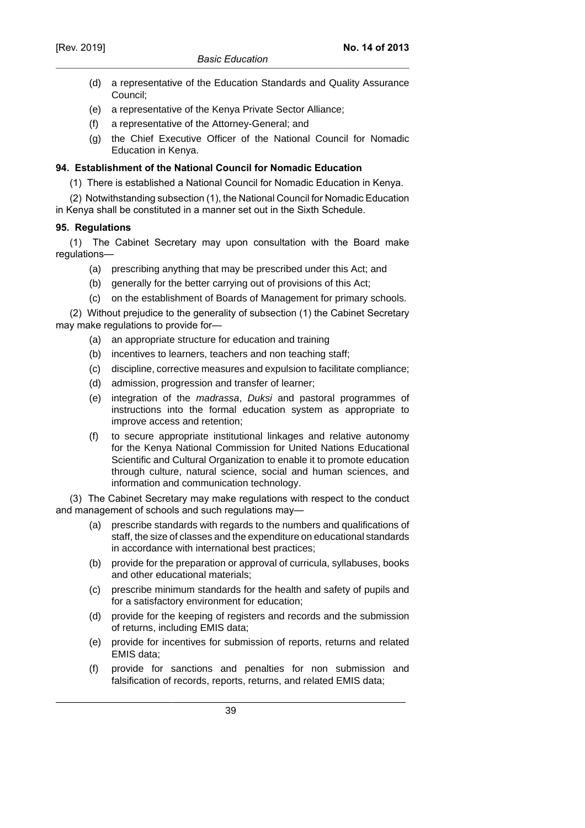### *Basic Education*

- (d) a representative of the Education Standards and Quality Assurance Council;
- (e) a representative of the Kenya Private Sector Alliance;
- (f) a representative of the Attorney-General; and
- (g) the Chief Executive Officer of the National Council for Nomadic Education in Kenya.

# **94. Establishment of the National Council for Nomadic Education**

(1) There is established a National Council for Nomadic Education in Kenya.

(2) Notwithstanding subsection (1), the National Council for Nomadic Education in Kenya shall be constituted in a manner set out in the Sixth Schedule.

### **95. Regulations**

(1) The Cabinet Secretary may upon consultation with the Board make regulations—

- (a) prescribing anything that may be prescribed under this Act; and
- (b) generally for the better carrying out of provisions of this Act;
- (c) on the establishment of Boards of Management for primary schools.

(2) Without prejudice to the generality of subsection (1) the Cabinet Secretary may make regulations to provide for—

- (a) an appropriate structure for education and training
- (b) incentives to learners, teachers and non teaching staff;
- (c) discipline, corrective measures and expulsion to facilitate compliance;
- (d) admission, progression and transfer of learner;
- (e) integration of the madrassa, Duksi and pastoral programmes of instructions into the formal education system as appropriate to improve access and retention;
- (f) to secure appropriate institutional linkages and relative autonomy for the Kenya National Commission for United Nations Educational Scientific and Cultural Organization to enable it to promote education through culture, natural science, social and human sciences, and information and communication technology.

(3) The Cabinet Secretary may make regulations with respect to the conduct and management of schools and such regulations may—

- (a) prescribe standards with regards to the numbers and qualifications of staff, the size of classes and the expenditure on educational standards in accordance with international best practices;
- (b) provide for the preparation or approval of curricula, syllabuses, books and other educational materials;
- (c) prescribe minimum standards for the health and safety of pupils and for a satisfactory environment for education;
- (d) provide for the keeping of registers and records and the submission of returns, including EMIS data;
- (e) provide for incentives for submission of reports, returns and related EMIS data;
- (f) provide for sanctions and penalties for non submission and falsification of records, reports, returns, and related EMIS data;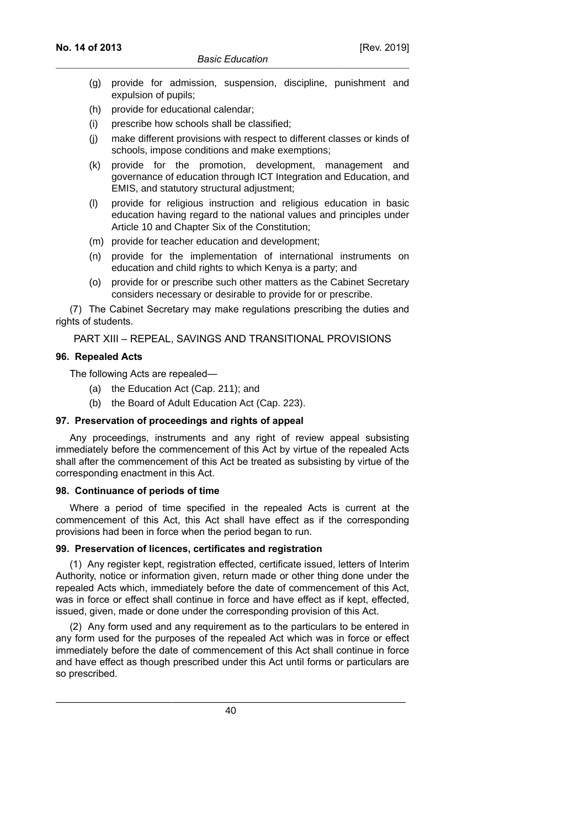- (g) provide for admission, suspension, discipline, punishment and expulsion of pupils;
- (h) provide for educational calendar;
- (i) prescribe how schools shall be classified;
- (j) make different provisions with respect to different classes or kinds of schools, impose conditions and make exemptions;
- (k) provide for the promotion, development, management and governance of education through ICT Integration and Education, and EMIS, and statutory structural adjustment;
- (l) provide for religious instruction and religious education in basic education having regard to the national values and principles under Article 10 and Chapter Six of the Constitution;
- (m) provide for teacher education and development;
- (n) provide for the implementation of international instruments on education and child rights to which Kenya is a party; and
- (o) provide for or prescribe such other matters as the Cabinet Secretary considers necessary or desirable to provide for or prescribe.

(7) The Cabinet Secretary may make regulations prescribing the duties and rights of students.

PART XIII – REPEAL, SAVINGS AND TRANSITIONAL PROVISIONS

# **96. Repealed Acts**

The following Acts are repealed—

- (a) the Education Act (Cap. 211); and
- (b) the Board of Adult Education Act (Cap. 223).

# **97. Preservation of proceedings and rights of appeal**

Any proceedings, instruments and any right of review appeal subsisting immediately before the commencement of this Act by virtue of the repealed Acts shall after the commencement of this Act be treated as subsisting by virtue of the corresponding enactment in this Act.

#### **98. Continuance of periods of time**

Where a period of time specified in the repealed Acts is current at the commencement of this Act, this Act shall have effect as if the corresponding provisions had been in force when the period began to run.

### **99. Preservation of licences, certificates and registration**

(1) Any register kept, registration effected, certificate issued, letters of Interim Authority, notice or information given, return made or other thing done under the repealed Acts which, immediately before the date of commencement of this Act, was in force or effect shall continue in force and have effect as if kept, effected, issued, given, made or done under the corresponding provision of this Act.

(2) Any form used and any requirement as to the particulars to be entered in any form used for the purposes of the repealed Act which was in force or effect immediately before the date of commencement of this Act shall continue in force and have effect as though prescribed under this Act until forms or particulars are so prescribed.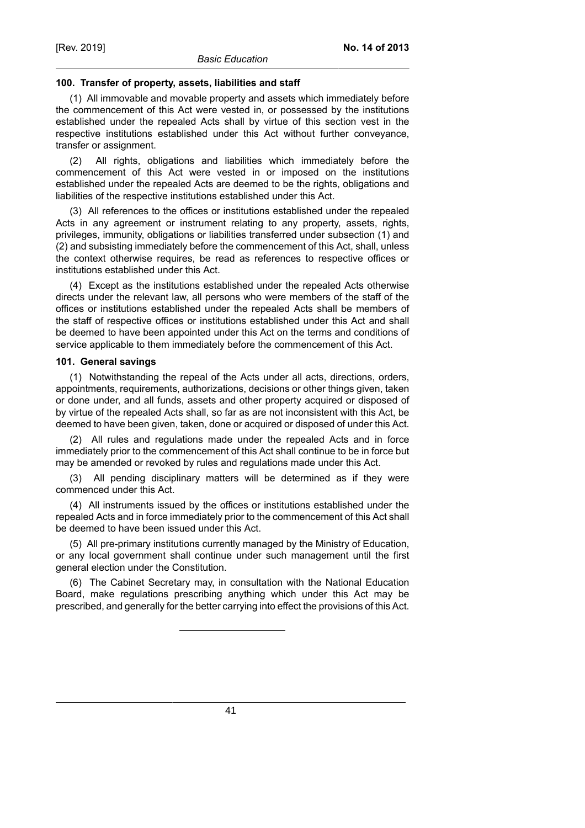#### **100. Transfer of property, assets, liabilities and staff**

(1) All immovable and movable property and assets which immediately before the commencement of this Act were vested in, or possessed by the institutions established under the repealed Acts shall by virtue of this section vest in the respective institutions established under this Act without further conveyance, transfer or assignment.

(2) All rights, obligations and liabilities which immediately before the commencement of this Act were vested in or imposed on the institutions established under the repealed Acts are deemed to be the rights, obligations and liabilities of the respective institutions established under this Act.

(3) All references to the offices or institutions established under the repealed Acts in any agreement or instrument relating to any property, assets, rights, privileges, immunity, obligations or liabilities transferred under subsection (1) and (2) and subsisting immediately before the commencement of this Act, shall, unless the context otherwise requires, be read as references to respective offices or institutions established under this Act.

(4) Except as the institutions established under the repealed Acts otherwise directs under the relevant law, all persons who were members of the staff of the offices or institutions established under the repealed Acts shall be members of the staff of respective offices or institutions established under this Act and shall be deemed to have been appointed under this Act on the terms and conditions of service applicable to them immediately before the commencement of this Act.

#### **101. General savings**

(1) Notwithstanding the repeal of the Acts under all acts, directions, orders, appointments, requirements, authorizations, decisions or other things given, taken or done under, and all funds, assets and other property acquired or disposed of by virtue of the repealed Acts shall, so far as are not inconsistent with this Act, be deemed to have been given, taken, done or acquired or disposed of under this Act.

(2) All rules and regulations made under the repealed Acts and in force immediately prior to the commencement of this Act shall continue to be in force but may be amended or revoked by rules and regulations made under this Act.

(3) All pending disciplinary matters will be determined as if they were commenced under this Act.

(4) All instruments issued by the offices or institutions established under the repealed Acts and in force immediately prior to the commencement of this Act shall be deemed to have been issued under this Act.

(5) All pre-primary institutions currently managed by the Ministry of Education, or any local government shall continue under such management until the first general election under the Constitution.

(6) The Cabinet Secretary may, in consultation with the National Education Board, make regulations prescribing anything which under this Act may be prescribed, and generally for the better carrying into effect the provisions of this Act.

41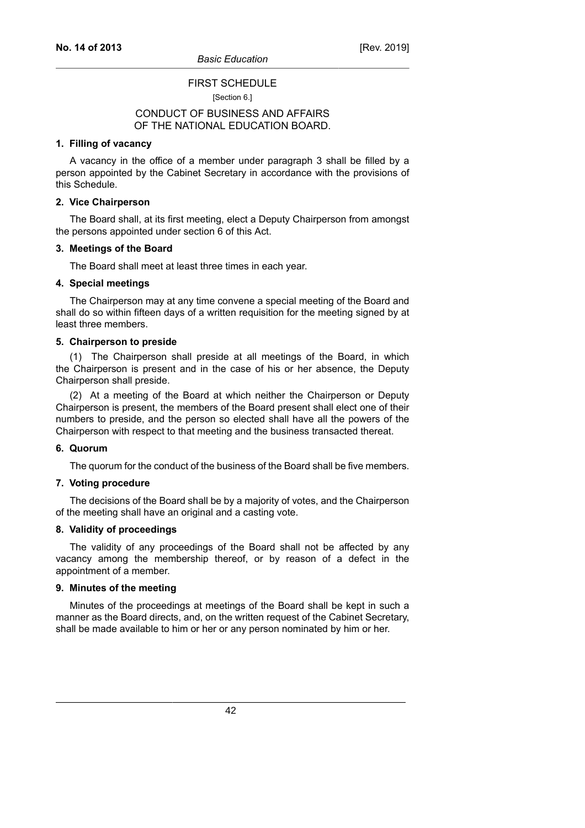# FIRST SCHEDULE

[Section 6.]

# CONDUCT OF BUSINESS AND AFFAIRS OF THE NATIONAL EDUCATION BOARD.

#### **1. Filling of vacancy**

A vacancy in the office of a member under paragraph 3 shall be filled by a person appointed by the Cabinet Secretary in accordance with the provisions of this Schedule.

#### **2. Vice Chairperson**

The Board shall, at its first meeting, elect a Deputy Chairperson from amongst the persons appointed under section 6 of this Act.

#### **3. Meetings of the Board**

The Board shall meet at least three times in each year.

#### **4. Special meetings**

The Chairperson may at any time convene a special meeting of the Board and shall do so within fifteen days of a written requisition for the meeting signed by at least three members.

#### **5. Chairperson to preside**

(1) The Chairperson shall preside at all meetings of the Board, in which the Chairperson is present and in the case of his or her absence, the Deputy Chairperson shall preside.

(2) At a meeting of the Board at which neither the Chairperson or Deputy Chairperson is present, the members of the Board present shall elect one of their numbers to preside, and the person so elected shall have all the powers of the Chairperson with respect to that meeting and the business transacted thereat.

#### **6. Quorum**

The quorum for the conduct of the business of the Board shall be five members.

#### **7. Voting procedure**

The decisions of the Board shall be by a majority of votes, and the Chairperson of the meeting shall have an original and a casting vote.

#### **8. Validity of proceedings**

The validity of any proceedings of the Board shall not be affected by any vacancy among the membership thereof, or by reason of a defect in the appointment of a member.

### **9. Minutes of the meeting**

Minutes of the proceedings at meetings of the Board shall be kept in such a manner as the Board directs, and, on the written request of the Cabinet Secretary, shall be made available to him or her or any person nominated by him or her.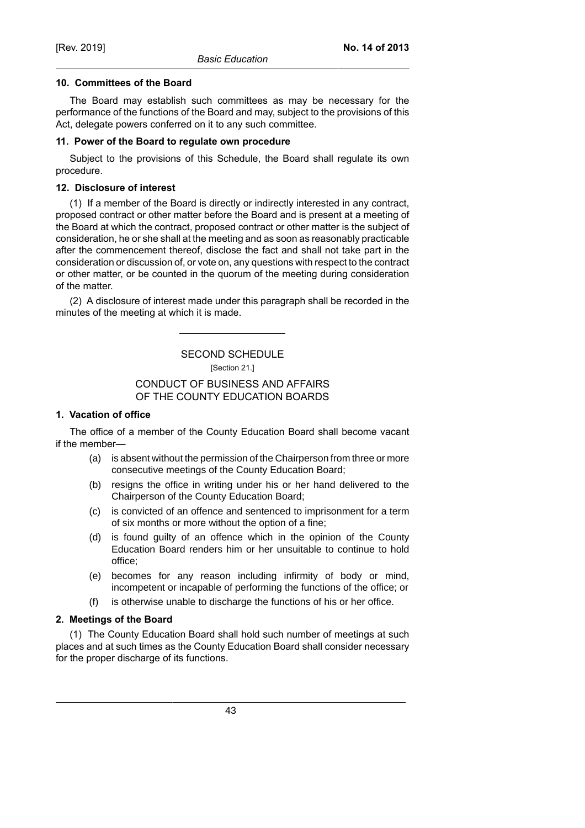### **10. Committees of the Board**

The Board may establish such committees as may be necessary for the performance of the functions of the Board and may, subject to the provisions of this Act, delegate powers conferred on it to any such committee.

### **11. Power of the Board to regulate own procedure**

Subject to the provisions of this Schedule, the Board shall regulate its own procedure.

# **12. Disclosure of interest**

(1) If a member of the Board is directly or indirectly interested in any contract, proposed contract or other matter before the Board and is present at a meeting of the Board at which the contract, proposed contract or other matter is the subject of consideration, he or she shall at the meeting and as soon as reasonably practicable after the commencement thereof, disclose the fact and shall not take part in the consideration or discussion of, or vote on, any questions with respect to the contract or other matter, or be counted in the quorum of the meeting during consideration of the matter.

(2) A disclosure of interest made under this paragraph shall be recorded in the minutes of the meeting at which it is made.

> SECOND SCHEDULE [Section 21.]

# CONDUCT OF BUSINESS AND AFFAIRS OF THE COUNTY EDUCATION BOARDS

# **1. Vacation of office**

The office of a member of the County Education Board shall become vacant if the member—

- (a) is absent without the permission of the Chairperson from three or more consecutive meetings of the County Education Board;
- (b) resigns the office in writing under his or her hand delivered to the Chairperson of the County Education Board;
- (c) is convicted of an offence and sentenced to imprisonment for a term of six months or more without the option of a fine;
- (d) is found guilty of an offence which in the opinion of the County Education Board renders him or her unsuitable to continue to hold office;
- (e) becomes for any reason including infirmity of body or mind, incompetent or incapable of performing the functions of the office; or
- (f) is otherwise unable to discharge the functions of his or her office.

# **2. Meetings of the Board**

(1) The County Education Board shall hold such number of meetings at such places and at such times as the County Education Board shall consider necessary for the proper discharge of its functions.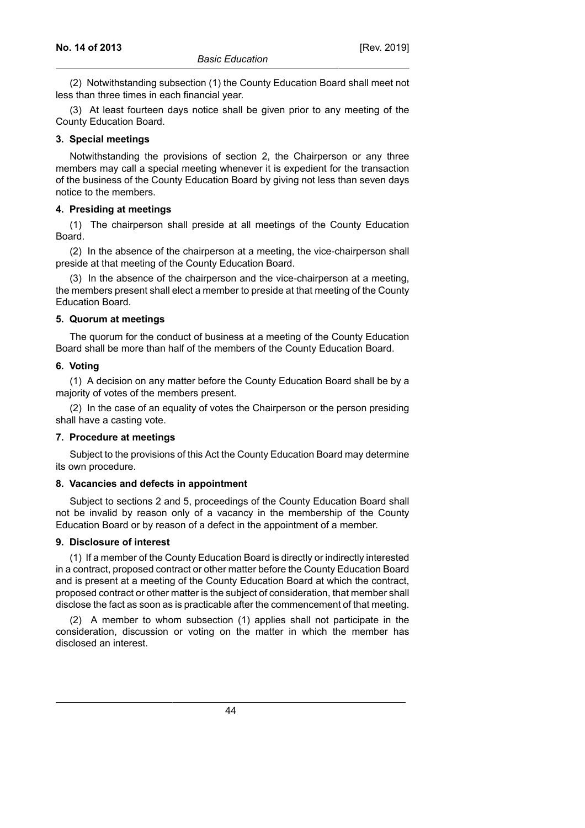(2) Notwithstanding subsection (1) the County Education Board shall meet not less than three times in each financial year.

(3) At least fourteen days notice shall be given prior to any meeting of the County Education Board.

### **3. Special meetings**

Notwithstanding the provisions of section 2, the Chairperson or any three members may call a special meeting whenever it is expedient for the transaction of the business of the County Education Board by giving not less than seven days notice to the members.

### **4. Presiding at meetings**

(1) The chairperson shall preside at all meetings of the County Education Board.

(2) In the absence of the chairperson at a meeting, the vice-chairperson shall preside at that meeting of the County Education Board.

(3) In the absence of the chairperson and the vice-chairperson at a meeting, the members present shall elect a member to preside at that meeting of the County Education Board.

### **5. Quorum at meetings**

The quorum for the conduct of business at a meeting of the County Education Board shall be more than half of the members of the County Education Board.

#### **6. Voting**

(1) A decision on any matter before the County Education Board shall be by a majority of votes of the members present.

(2) In the case of an equality of votes the Chairperson or the person presiding shall have a casting vote.

# **7. Procedure at meetings**

Subject to the provisions of this Act the County Education Board may determine its own procedure.

# **8. Vacancies and defects in appointment**

Subject to sections 2 and 5, proceedings of the County Education Board shall not be invalid by reason only of a vacancy in the membership of the County Education Board or by reason of a defect in the appointment of a member.

# **9. Disclosure of interest**

(1) If a member of the County Education Board is directly or indirectly interested in a contract, proposed contract or other matter before the County Education Board and is present at a meeting of the County Education Board at which the contract, proposed contract or other matter is the subject of consideration, that member shall disclose the fact as soon as is practicable after the commencement of that meeting.

(2) A member to whom subsection (1) applies shall not participate in the consideration, discussion or voting on the matter in which the member has disclosed an interest.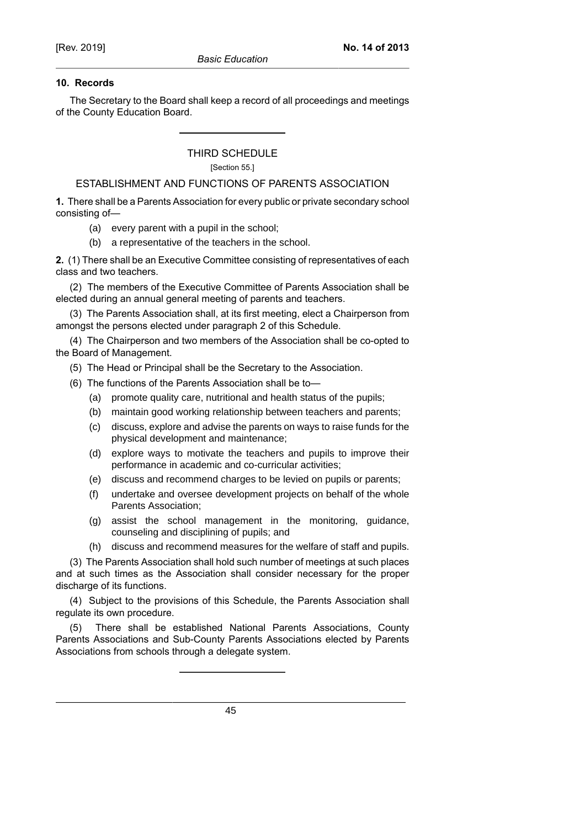### **10. Records**

The Secretary to the Board shall keep a record of all proceedings and meetings of the County Education Board.

> THIRD SCHEDULE [Section 55.]

# ESTABLISHMENT AND FUNCTIONS OF PARENTS ASSOCIATION

**1.** There shall be a Parents Association for every public or private secondary school consisting of—

(a) every parent with a pupil in the school;

(b) a representative of the teachers in the school.

**2.** (1) There shall be an Executive Committee consisting of representatives of each class and two teachers.

(2) The members of the Executive Committee of Parents Association shall be elected during an annual general meeting of parents and teachers.

(3) The Parents Association shall, at its first meeting, elect a Chairperson from amongst the persons elected under paragraph 2 of this Schedule.

(4) The Chairperson and two members of the Association shall be co-opted to the Board of Management.

(5) The Head or Principal shall be the Secretary to the Association.

- (6) The functions of the Parents Association shall be to—
	- (a) promote quality care, nutritional and health status of the pupils;
	- (b) maintain good working relationship between teachers and parents;
	- (c) discuss, explore and advise the parents on ways to raise funds for the physical development and maintenance;
	- (d) explore ways to motivate the teachers and pupils to improve their performance in academic and co-curricular activities;
	- (e) discuss and recommend charges to be levied on pupils or parents;
	- (f) undertake and oversee development projects on behalf of the whole Parents Association;
	- (g) assist the school management in the monitoring, guidance, counseling and disciplining of pupils; and
	- (h) discuss and recommend measures for the welfare of staff and pupils.

(3) The Parents Association shall hold such number of meetings at such places and at such times as the Association shall consider necessary for the proper discharge of its functions.

(4) Subject to the provisions of this Schedule, the Parents Association shall regulate its own procedure.

(5) There shall be established National Parents Associations, County Parents Associations and Sub-County Parents Associations elected by Parents Associations from schools through a delegate system.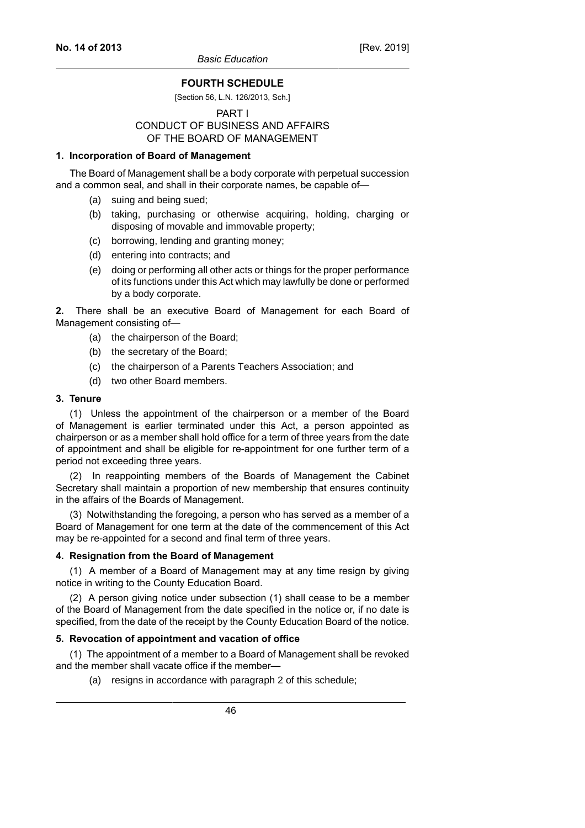### **FOURTH SCHEDULE**

#### [Section 56, L.N. 126/2013, Sch.]

# PART I CONDUCT OF BUSINESS AND AFFAIRS OF THE BOARD OF MANAGEMENT

#### **1. Incorporation of Board of Management**

The Board of Management shall be a body corporate with perpetual succession and a common seal, and shall in their corporate names, be capable of—

- (a) suing and being sued;
- (b) taking, purchasing or otherwise acquiring, holding, charging or disposing of movable and immovable property;
- (c) borrowing, lending and granting money;
- (d) entering into contracts; and
- (e) doing or performing all other acts or things for the proper performance of its functions under this Act which may lawfully be done or performed by a body corporate.

**2.** There shall be an executive Board of Management for each Board of Management consisting of—

- (a) the chairperson of the Board;
- (b) the secretary of the Board;
- (c) the chairperson of a Parents Teachers Association; and
- (d) two other Board members.

#### **3. Tenure**

(1) Unless the appointment of the chairperson or a member of the Board of Management is earlier terminated under this Act, a person appointed as chairperson or as a member shall hold office for a term of three years from the date of appointment and shall be eligible for re-appointment for one further term of a period not exceeding three years.

(2) In reappointing members of the Boards of Management the Cabinet Secretary shall maintain a proportion of new membership that ensures continuity in the affairs of the Boards of Management.

(3) Notwithstanding the foregoing, a person who has served as a member of a Board of Management for one term at the date of the commencement of this Act may be re-appointed for a second and final term of three years.

#### **4. Resignation from the Board of Management**

(1) A member of a Board of Management may at any time resign by giving notice in writing to the County Education Board.

(2) A person giving notice under subsection (1) shall cease to be a member of the Board of Management from the date specified in the notice or, if no date is specified, from the date of the receipt by the County Education Board of the notice.

#### **5. Revocation of appointment and vacation of office**

(1) The appointment of a member to a Board of Management shall be revoked and the member shall vacate office if the member—

(a) resigns in accordance with paragraph 2 of this schedule;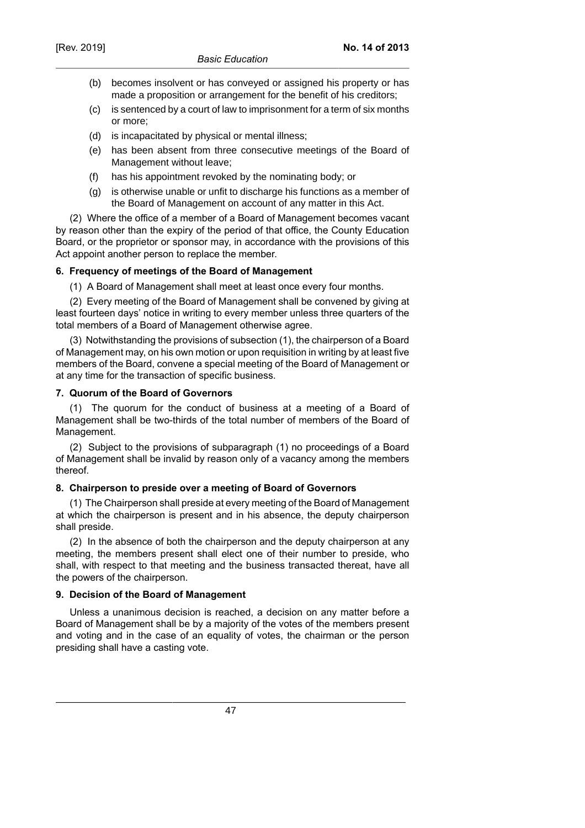- (b) becomes insolvent or has conveyed or assigned his property or has made a proposition or arrangement for the benefit of his creditors;
- (c) is sentenced by a court of law to imprisonment for a term of six months or more;
- (d) is incapacitated by physical or mental illness;
- (e) has been absent from three consecutive meetings of the Board of Management without leave;
- (f) has his appointment revoked by the nominating body; or
- (g) is otherwise unable or unfit to discharge his functions as a member of the Board of Management on account of any matter in this Act.

(2) Where the office of a member of a Board of Management becomes vacant by reason other than the expiry of the period of that office, the County Education Board, or the proprietor or sponsor may, in accordance with the provisions of this Act appoint another person to replace the member.

# **6. Frequency of meetings of the Board of Management**

(1) A Board of Management shall meet at least once every four months.

(2) Every meeting of the Board of Management shall be convened by giving at least fourteen days' notice in writing to every member unless three quarters of the total members of a Board of Management otherwise agree.

(3) Notwithstanding the provisions of subsection (1), the chairperson of a Board of Management may, on his own motion or upon requisition in writing by at least five members of the Board, convene a special meeting of the Board of Management or at any time for the transaction of specific business.

# **7. Quorum of the Board of Governors**

(1) The quorum for the conduct of business at a meeting of a Board of Management shall be two-thirds of the total number of members of the Board of Management.

(2) Subject to the provisions of subparagraph (1) no proceedings of a Board of Management shall be invalid by reason only of a vacancy among the members thereof.

# **8. Chairperson to preside over a meeting of Board of Governors**

(1) The Chairperson shall preside at every meeting of the Board of Management at which the chairperson is present and in his absence, the deputy chairperson shall preside.

(2) In the absence of both the chairperson and the deputy chairperson at any meeting, the members present shall elect one of their number to preside, who shall, with respect to that meeting and the business transacted thereat, have all the powers of the chairperson.

# **9. Decision of the Board of Management**

Unless a unanimous decision is reached, a decision on any matter before a Board of Management shall be by a majority of the votes of the members present and voting and in the case of an equality of votes, the chairman or the person presiding shall have a casting vote.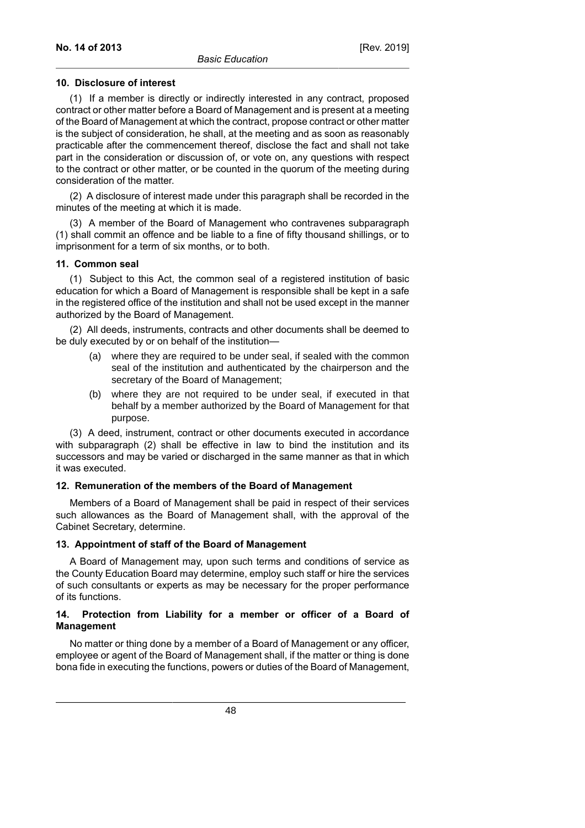### **10. Disclosure of interest**

(1) If a member is directly or indirectly interested in any contract, proposed contract or other matter before a Board of Management and is present at a meeting of the Board of Management at which the contract, propose contract or other matter is the subject of consideration, he shall, at the meeting and as soon as reasonably practicable after the commencement thereof, disclose the fact and shall not take part in the consideration or discussion of, or vote on, any questions with respect to the contract or other matter, or be counted in the quorum of the meeting during consideration of the matter.

(2) A disclosure of interest made under this paragraph shall be recorded in the minutes of the meeting at which it is made.

(3) A member of the Board of Management who contravenes subparagraph (1) shall commit an offence and be liable to a fine of fifty thousand shillings, or to imprisonment for a term of six months, or to both.

### **11. Common seal**

(1) Subject to this Act, the common seal of a registered institution of basic education for which a Board of Management is responsible shall be kept in a safe in the registered office of the institution and shall not be used except in the manner authorized by the Board of Management.

(2) All deeds, instruments, contracts and other documents shall be deemed to be duly executed by or on behalf of the institution—

- (a) where they are required to be under seal, if sealed with the common seal of the institution and authenticated by the chairperson and the secretary of the Board of Management;
- (b) where they are not required to be under seal, if executed in that behalf by a member authorized by the Board of Management for that purpose.

(3) A deed, instrument, contract or other documents executed in accordance with subparagraph (2) shall be effective in law to bind the institution and its successors and may be varied or discharged in the same manner as that in which it was executed.

#### **12. Remuneration of the members of the Board of Management**

Members of a Board of Management shall be paid in respect of their services such allowances as the Board of Management shall, with the approval of the Cabinet Secretary, determine.

# **13. Appointment of staff of the Board of Management**

A Board of Management may, upon such terms and conditions of service as the County Education Board may determine, employ such staff or hire the services of such consultants or experts as may be necessary for the proper performance of its functions.

# **14. Protection from Liability for a member or officer of a Board of Management**

No matter or thing done by a member of a Board of Management or any officer, employee or agent of the Board of Management shall, if the matter or thing is done bona fide in executing the functions, powers or duties of the Board of Management,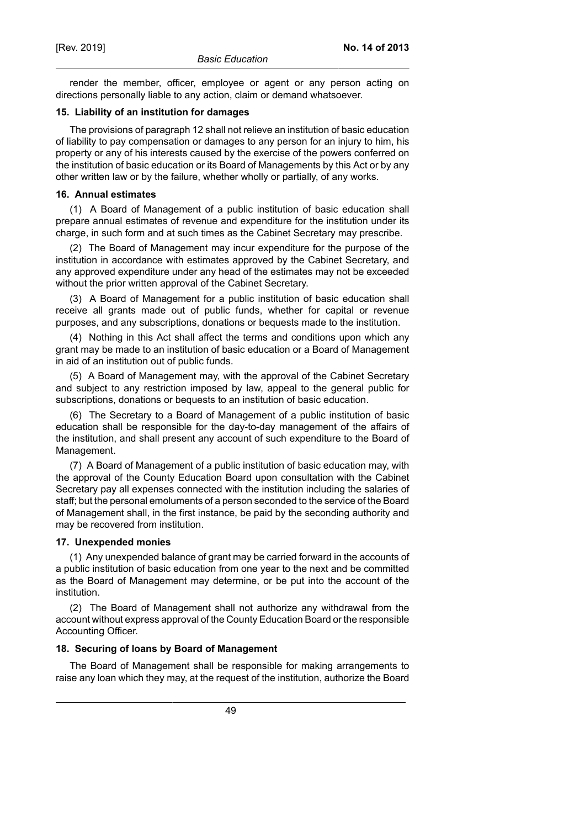render the member, officer, employee or agent or any person acting on directions personally liable to any action, claim or demand whatsoever.

#### **15. Liability of an institution for damages**

The provisions of paragraph 12 shall not relieve an institution of basic education of liability to pay compensation or damages to any person for an injury to him, his property or any of his interests caused by the exercise of the powers conferred on the institution of basic education or its Board of Managements by this Act or by any other written law or by the failure, whether wholly or partially, of any works.

#### **16. Annual estimates**

(1) A Board of Management of a public institution of basic education shall prepare annual estimates of revenue and expenditure for the institution under its charge, in such form and at such times as the Cabinet Secretary may prescribe.

(2) The Board of Management may incur expenditure for the purpose of the institution in accordance with estimates approved by the Cabinet Secretary, and any approved expenditure under any head of the estimates may not be exceeded without the prior written approval of the Cabinet Secretary.

(3) A Board of Management for a public institution of basic education shall receive all grants made out of public funds, whether for capital or revenue purposes, and any subscriptions, donations or bequests made to the institution.

(4) Nothing in this Act shall affect the terms and conditions upon which any grant may be made to an institution of basic education or a Board of Management in aid of an institution out of public funds.

(5) A Board of Management may, with the approval of the Cabinet Secretary and subject to any restriction imposed by law, appeal to the general public for subscriptions, donations or bequests to an institution of basic education.

(6) The Secretary to a Board of Management of a public institution of basic education shall be responsible for the day-to-day management of the affairs of the institution, and shall present any account of such expenditure to the Board of Management.

(7) A Board of Management of a public institution of basic education may, with the approval of the County Education Board upon consultation with the Cabinet Secretary pay all expenses connected with the institution including the salaries of staff; but the personal emoluments of a person seconded to the service of the Board of Management shall, in the first instance, be paid by the seconding authority and may be recovered from institution.

### **17. Unexpended monies**

(1) Any unexpended balance of grant may be carried forward in the accounts of a public institution of basic education from one year to the next and be committed as the Board of Management may determine, or be put into the account of the institution.

(2) The Board of Management shall not authorize any withdrawal from the account without express approval of the County Education Board or the responsible Accounting Officer.

#### **18. Securing of loans by Board of Management**

The Board of Management shall be responsible for making arrangements to raise any loan which they may, at the request of the institution, authorize the Board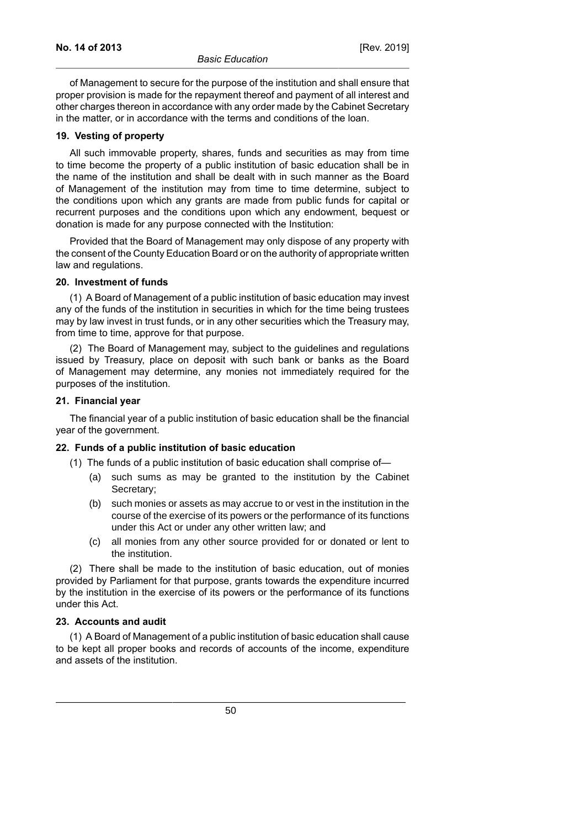of Management to secure for the purpose of the institution and shall ensure that proper provision is made for the repayment thereof and payment of all interest and other charges thereon in accordance with any order made by the Cabinet Secretary in the matter, or in accordance with the terms and conditions of the loan.

#### **19. Vesting of property**

All such immovable property, shares, funds and securities as may from time to time become the property of a public institution of basic education shall be in the name of the institution and shall be dealt with in such manner as the Board of Management of the institution may from time to time determine, subject to the conditions upon which any grants are made from public funds for capital or recurrent purposes and the conditions upon which any endowment, bequest or donation is made for any purpose connected with the Institution:

Provided that the Board of Management may only dispose of any property with the consent of the County Education Board or on the authority of appropriate written law and regulations.

#### **20. Investment of funds**

(1) A Board of Management of a public institution of basic education may invest any of the funds of the institution in securities in which for the time being trustees may by law invest in trust funds, or in any other securities which the Treasury may, from time to time, approve for that purpose.

(2) The Board of Management may, subject to the guidelines and regulations issued by Treasury, place on deposit with such bank or banks as the Board of Management may determine, any monies not immediately required for the purposes of the institution.

#### **21. Financial year**

The financial year of a public institution of basic education shall be the financial year of the government.

#### **22. Funds of a public institution of basic education**

- (1) The funds of a public institution of basic education shall comprise of—
	- (a) such sums as may be granted to the institution by the Cabinet Secretary;
	- (b) such monies or assets as may accrue to or vest in the institution in the course of the exercise of its powers or the performance of its functions under this Act or under any other written law; and
	- (c) all monies from any other source provided for or donated or lent to the institution.

(2) There shall be made to the institution of basic education, out of monies provided by Parliament for that purpose, grants towards the expenditure incurred by the institution in the exercise of its powers or the performance of its functions under this Act.

### **23. Accounts and audit**

(1) A Board of Management of a public institution of basic education shall cause to be kept all proper books and records of accounts of the income, expenditure and assets of the institution.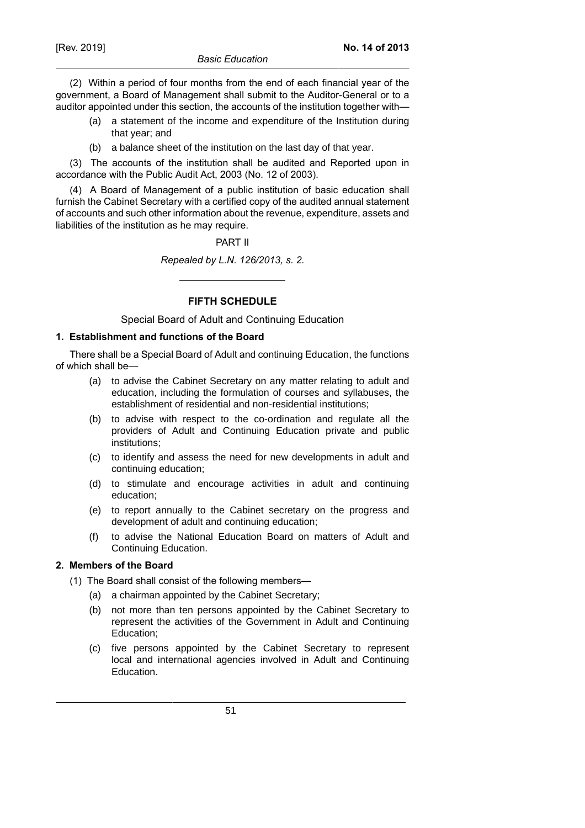(2) Within a period of four months from the end of each financial year of the government, a Board of Management shall submit to the Auditor-General or to a auditor appointed under this section, the accounts of the institution together with—

- (a) a statement of the income and expenditure of the Institution during that year; and
- (b) a balance sheet of the institution on the last day of that year.

(3) The accounts of the institution shall be audited and Reported upon in accordance with the Public Audit Act, 2003 (No. 12 of 2003).

(4) A Board of Management of a public institution of basic education shall furnish the Cabinet Secretary with a certified copy of the audited annual statement of accounts and such other information about the revenue, expenditure, assets and liabilities of the institution as he may require.

#### PART II

*Repealed by L.N. 126/2013, s. 2.*

**FIFTH SCHEDULE**

Special Board of Adult and Continuing Education

### **1. Establishment and functions of the Board**

There shall be a Special Board of Adult and continuing Education, the functions of which shall be—

- (a) to advise the Cabinet Secretary on any matter relating to adult and education, including the formulation of courses and syllabuses, the establishment of residential and non-residential institutions;
- (b) to advise with respect to the co-ordination and regulate all the providers of Adult and Continuing Education private and public institutions;
- (c) to identify and assess the need for new developments in adult and continuing education;
- (d) to stimulate and encourage activities in adult and continuing education;
- (e) to report annually to the Cabinet secretary on the progress and development of adult and continuing education;
- (f) to advise the National Education Board on matters of Adult and Continuing Education.

# **2. Members of the Board**

- (1) The Board shall consist of the following members—
	- (a) a chairman appointed by the Cabinet Secretary;
	- (b) not more than ten persons appointed by the Cabinet Secretary to represent the activities of the Government in Adult and Continuing Education;
	- (c) five persons appointed by the Cabinet Secretary to represent local and international agencies involved in Adult and Continuing Education.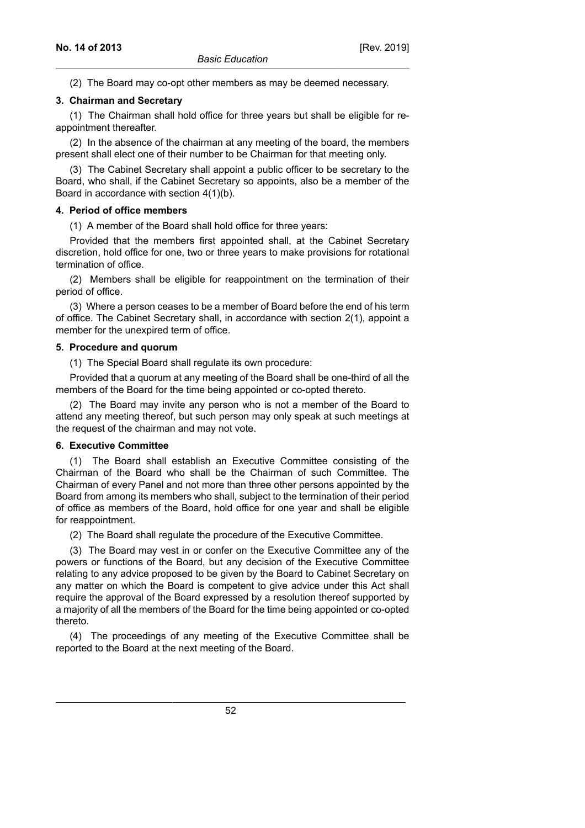(2) The Board may co-opt other members as may be deemed necessary.

### **3. Chairman and Secretary**

(1) The Chairman shall hold office for three years but shall be eligible for reappointment thereafter.

(2) In the absence of the chairman at any meeting of the board, the members present shall elect one of their number to be Chairman for that meeting only.

(3) The Cabinet Secretary shall appoint a public officer to be secretary to the Board, who shall, if the Cabinet Secretary so appoints, also be a member of the Board in accordance with section 4(1)(b).

### **4. Period of office members**

(1) A member of the Board shall hold office for three years:

Provided that the members first appointed shall, at the Cabinet Secretary discretion, hold office for one, two or three years to make provisions for rotational termination of office.

(2) Members shall be eligible for reappointment on the termination of their period of office.

(3) Where a person ceases to be a member of Board before the end of his term of office. The Cabinet Secretary shall, in accordance with section 2(1), appoint a member for the unexpired term of office.

### **5. Procedure and quorum**

(1) The Special Board shall regulate its own procedure:

Provided that a quorum at any meeting of the Board shall be one-third of all the members of the Board for the time being appointed or co-opted thereto.

(2) The Board may invite any person who is not a member of the Board to attend any meeting thereof, but such person may only speak at such meetings at the request of the chairman and may not vote.

#### **6. Executive Committee**

(1) The Board shall establish an Executive Committee consisting of the Chairman of the Board who shall be the Chairman of such Committee. The Chairman of every Panel and not more than three other persons appointed by the Board from among its members who shall, subject to the termination of their period of office as members of the Board, hold office for one year and shall be eligible for reappointment.

(2) The Board shall regulate the procedure of the Executive Committee.

(3) The Board may vest in or confer on the Executive Committee any of the powers or functions of the Board, but any decision of the Executive Committee relating to any advice proposed to be given by the Board to Cabinet Secretary on any matter on which the Board is competent to give advice under this Act shall require the approval of the Board expressed by a resolution thereof supported by a majority of all the members of the Board for the time being appointed or co-opted thereto.

(4) The proceedings of any meeting of the Executive Committee shall be reported to the Board at the next meeting of the Board.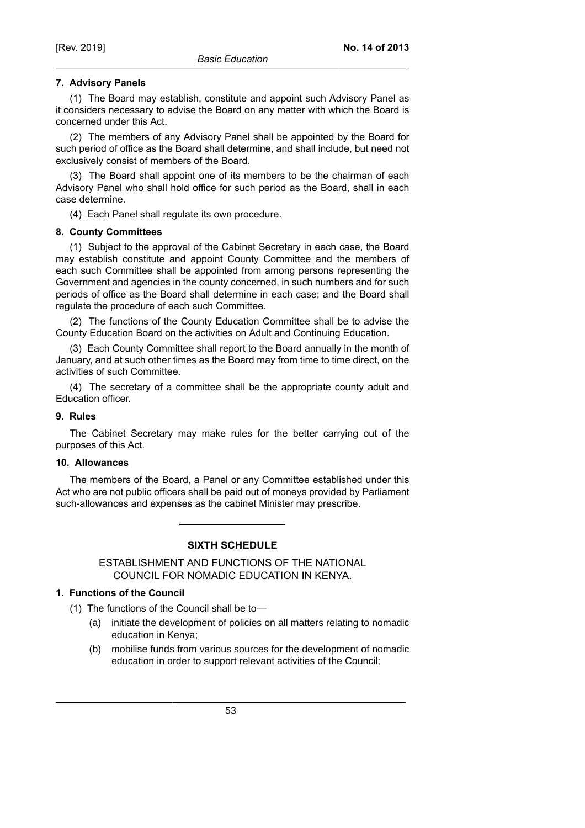# **7. Advisory Panels**

(1) The Board may establish, constitute and appoint such Advisory Panel as it considers necessary to advise the Board on any matter with which the Board is concerned under this Act.

(2) The members of any Advisory Panel shall be appointed by the Board for such period of office as the Board shall determine, and shall include, but need not exclusively consist of members of the Board.

(3) The Board shall appoint one of its members to be the chairman of each Advisory Panel who shall hold office for such period as the Board, shall in each case determine.

(4) Each Panel shall regulate its own procedure.

### **8. County Committees**

(1) Subject to the approval of the Cabinet Secretary in each case, the Board may establish constitute and appoint County Committee and the members of each such Committee shall be appointed from among persons representing the Government and agencies in the county concerned, in such numbers and for such periods of office as the Board shall determine in each case; and the Board shall regulate the procedure of each such Committee.

(2) The functions of the County Education Committee shall be to advise the County Education Board on the activities on Adult and Continuing Education.

(3) Each County Committee shall report to the Board annually in the month of January, and at such other times as the Board may from time to time direct, on the activities of such Committee.

(4) The secretary of a committee shall be the appropriate county adult and Education officer.

### **9. Rules**

The Cabinet Secretary may make rules for the better carrying out of the purposes of this Act.

#### **10. Allowances**

The members of the Board, a Panel or any Committee established under this Act who are not public officers shall be paid out of moneys provided by Parliament such-allowances and expenses as the cabinet Minister may prescribe.

# **SIXTH SCHEDULE**

ESTABLISHMENT AND FUNCTIONS OF THE NATIONAL COUNCIL FOR NOMADIC EDUCATION IN KENYA.

# **1. Functions of the Council**

(1) The functions of the Council shall be to—

- (a) initiate the development of policies on all matters relating to nomadic education in Kenya;
- (b) mobilise funds from various sources for the development of nomadic education in order to support relevant activities of the Council;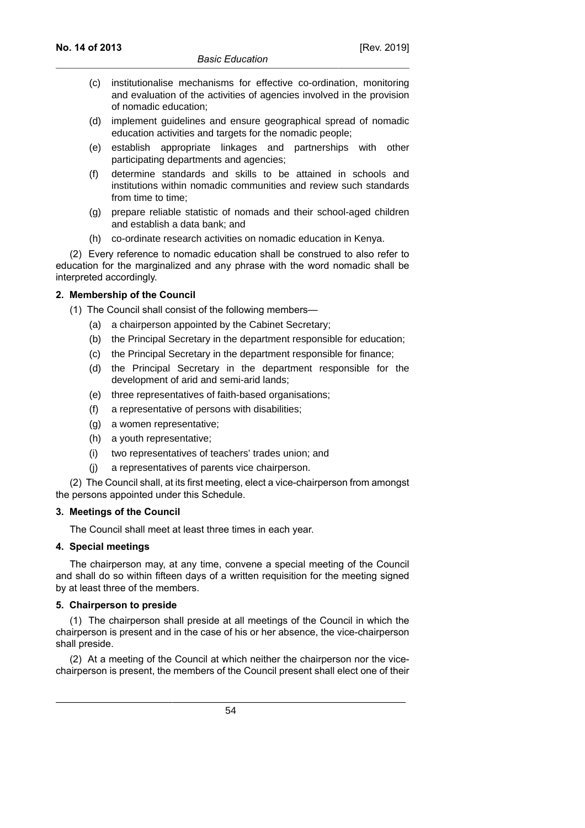- (c) institutionalise mechanisms for effective co-ordination, monitoring and evaluation of the activities of agencies involved in the provision of nomadic education;
- (d) implement guidelines and ensure geographical spread of nomadic education activities and targets for the nomadic people;
- (e) establish appropriate linkages and partnerships with other participating departments and agencies;
- (f) determine standards and skills to be attained in schools and institutions within nomadic communities and review such standards from time to time;
- (g) prepare reliable statistic of nomads and their school-aged children and establish a data bank; and
- (h) co-ordinate research activities on nomadic education in Kenya.

(2) Every reference to nomadic education shall be construed to also refer to education for the marginalized and any phrase with the word nomadic shall be interpreted accordingly.

### **2. Membership of the Council**

- (1) The Council shall consist of the following members—
	- (a) a chairperson appointed by the Cabinet Secretary;
	- (b) the Principal Secretary in the department responsible for education;
	- (c) the Principal Secretary in the department responsible for finance;
	- (d) the Principal Secretary in the department responsible for the development of arid and semi-arid lands;
	- (e) three representatives of faith-based organisations;
	- (f) a representative of persons with disabilities;
	- (g) a women representative;
	- (h) a youth representative;
	- (i) two representatives of teachers' trades union; and
	- (j) a representatives of parents vice chairperson.

(2) The Council shall, at its first meeting, elect a vice-chairperson from amongst the persons appointed under this Schedule.

#### **3. Meetings of the Council**

The Council shall meet at least three times in each year.

### **4. Special meetings**

The chairperson may, at any time, convene a special meeting of the Council and shall do so within fifteen days of a written requisition for the meeting signed by at least three of the members.

#### **5. Chairperson to preside**

(1) The chairperson shall preside at all meetings of the Council in which the chairperson is present and in the case of his or her absence, the vice-chairperson shall preside.

(2) At a meeting of the Council at which neither the chairperson nor the vicechairperson is present, the members of the Council present shall elect one of their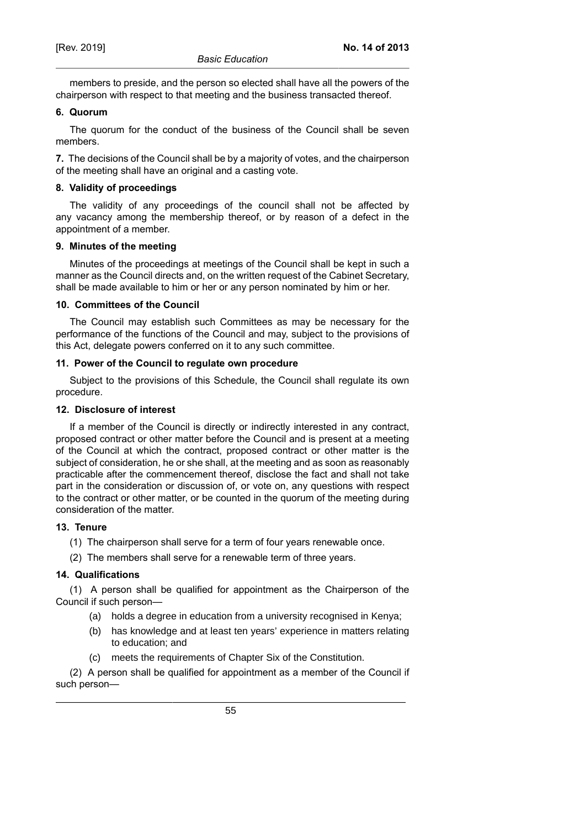members to preside, and the person so elected shall have all the powers of the chairperson with respect to that meeting and the business transacted thereof.

### **6. Quorum**

The quorum for the conduct of the business of the Council shall be seven members.

**7.** The decisions of the Council shall be by a majority of votes, and the chairperson of the meeting shall have an original and a casting vote.

### **8. Validity of proceedings**

The validity of any proceedings of the council shall not be affected by any vacancy among the membership thereof, or by reason of a defect in the appointment of a member.

### **9. Minutes of the meeting**

Minutes of the proceedings at meetings of the Council shall be kept in such a manner as the Council directs and, on the written request of the Cabinet Secretary, shall be made available to him or her or any person nominated by him or her.

### **10. Committees of the Council**

The Council may establish such Committees as may be necessary for the performance of the functions of the Council and may, subject to the provisions of this Act, delegate powers conferred on it to any such committee.

### **11. Power of the Council to regulate own procedure**

Subject to the provisions of this Schedule, the Council shall regulate its own procedure.

# **12. Disclosure of interest**

If a member of the Council is directly or indirectly interested in any contract, proposed contract or other matter before the Council and is present at a meeting of the Council at which the contract, proposed contract or other matter is the subject of consideration, he or she shall, at the meeting and as soon as reasonably practicable after the commencement thereof, disclose the fact and shall not take part in the consideration or discussion of, or vote on, any questions with respect to the contract or other matter, or be counted in the quorum of the meeting during consideration of the matter.

# **13. Tenure**

- (1) The chairperson shall serve for a term of four years renewable once.
- (2) The members shall serve for a renewable term of three years.

# **14. Qualifications**

(1) A person shall be qualified for appointment as the Chairperson of the Council if such person—

- (a) holds a degree in education from a university recognised in Kenya;
- (b) has knowledge and at least ten years' experience in matters relating to education; and
- (c) meets the requirements of Chapter Six of the Constitution.

(2) A person shall be qualified for appointment as a member of the Council if such person—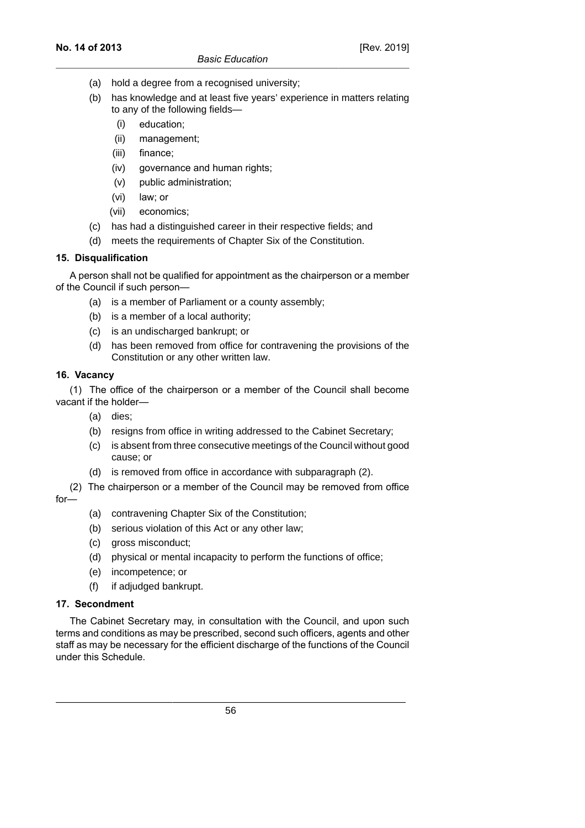- (a) hold a degree from a recognised university:
- (b) has knowledge and at least five years' experience in matters relating to any of the following fields—
	- (i) education;
	- (ii) management;
	- (iii) finance;
	- (iv) governance and human rights;
	- (v) public administration;
	- (vi) law; or
	- (vii) economics;
- (c) has had a distinguished career in their respective fields; and
- (d) meets the requirements of Chapter Six of the Constitution.

# **15. Disqualification**

A person shall not be qualified for appointment as the chairperson or a member of the Council if such person—

- (a) is a member of Parliament or a county assembly;
- (b) is a member of a local authority;
- (c) is an undischarged bankrupt; or
- (d) has been removed from office for contravening the provisions of the Constitution or any other written law.

# **16. Vacancy**

(1) The office of the chairperson or a member of the Council shall become vacant if the holder—

- (a) dies;
- (b) resigns from office in writing addressed to the Cabinet Secretary;
- (c) is absent from three consecutive meetings of the Council without good cause; or
- (d) is removed from office in accordance with subparagraph (2).
- (2) The chairperson or a member of the Council may be removed from office for—
	- (a) contravening Chapter Six of the Constitution;
	- (b) serious violation of this Act or any other law;
	- (c) gross misconduct;
	- (d) physical or mental incapacity to perform the functions of office;
	- (e) incompetence; or
	- (f) if adjudged bankrupt.

# **17. Secondment**

The Cabinet Secretary may, in consultation with the Council, and upon such terms and conditions as may be prescribed, second such officers, agents and other staff as may be necessary for the efficient discharge of the functions of the Council under this Schedule.